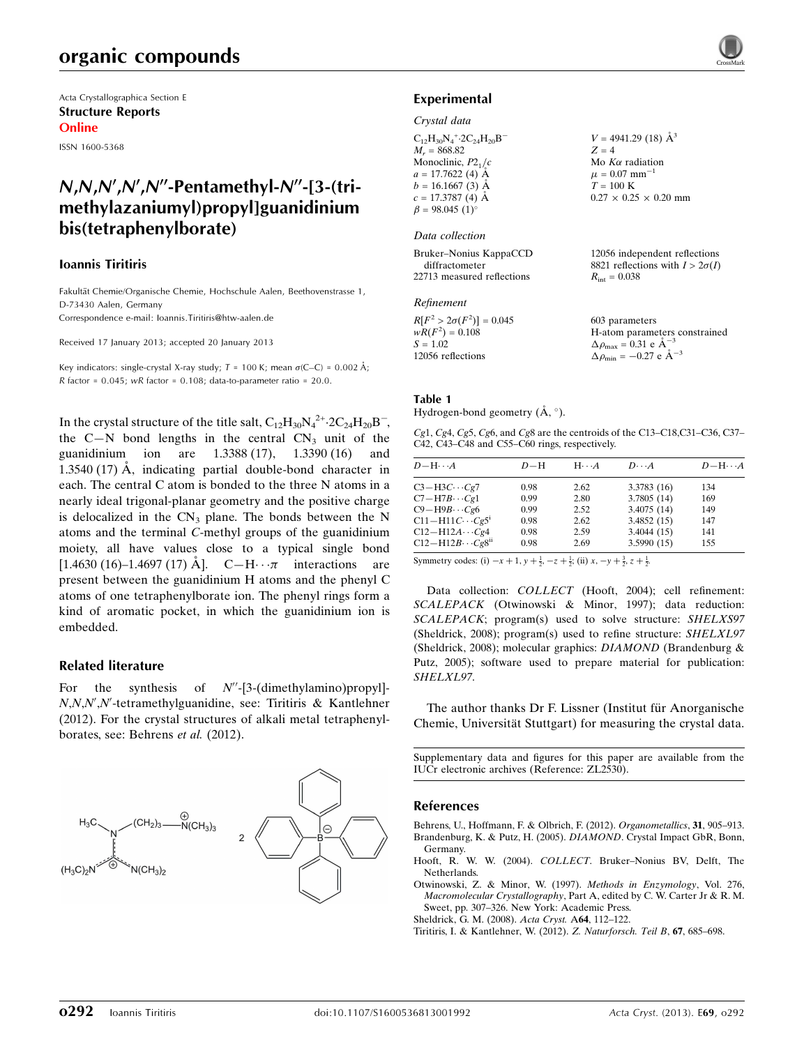Acta Crystallographica Section E Structure Reports Online

ISSN 1600-5368

# N,N,N',N',N''-Pentamethyl-N''-[3-(trimethylazaniumyl)propyl]guanidinium bis(tetraphenylborate)

### Ioannis Tiritiris

Fakultät Chemie/Organische Chemie, Hochschule Aalen, Beethovenstrasse 1, D-73430 Aalen, Germany Correspondence e-mail: [Ioannis.Tiritiris@htw-aalen.de](https://scripts.iucr.org/cgi-bin/cr.cgi?rm=pdfbb&cnor=zl2530&bbid=BB6)

Received 17 January 2013; accepted 20 January 2013

Key indicators: single-crystal X-ray study;  $T = 100$  K; mean  $\sigma$ (C–C) = 0.002 Å;  $R$  factor = 0.045; w $R$  factor = 0.108; data-to-parameter ratio = 20.0.

In the crystal structure of the title salt,  $C_{12}H_{30}N_4^{2+}$ :2 $C_{24}H_{20}B^-$ , the C-N bond lengths in the central  $CN_3$  unit of the guanidinium ion are 1.3388 (17), 1.3390 (16) and 1.3540 (17)  $\AA$ , indicating partial double-bond character in each. The central C atom is bonded to the three N atoms in a nearly ideal trigonal-planar geometry and the positive charge is delocalized in the  $CN_3$  plane. The bonds between the N atoms and the terminal C-methyl groups of the guanidinium moiety, all have values close to a typical single bond [1.4630 (16)-1.4697 (17) Å].  $C-H \cdot \pi$  interactions are present between the guanidinium H atoms and the phenyl C atoms of one tetraphenylborate ion. The phenyl rings form a kind of aromatic pocket, in which the guanidinium ion is embedded.

### Related literature

For the synthesis of  $N''$ -[3-(dimethylamino)propyl]-N,N,N',N'-tetramethylguanidine, see: Tiritiris & Kantlehner (2012). For the crystal structures of alkali metal tetraphenylborates, see: Behrens et al. (2012).



### Experimental

#### Crystal data

 $C_{12}H_{30}N_4$ <sup>+</sup> $\cdot$ 2 $C_{24}H_{20}B^ M_r = 868.82$ Monoclinic,  $P2<sub>1</sub>/c$  $a = 17.7622$  (4) Å  $b = 16.1667(3)$  Å  $c = 17.3787(4)$  Å  $\beta = 98.045$  (1)<sup>o</sup>

#### Data collection

Bruker–Nonius KappaCCD diffractometer 22713 measured reflections

### Refinement

 $R[F^2 > 2\sigma(F^2)] = 0.045$ <br>  $wR(F^2) = 0.108$  $S = 1.02$ 12056 reflections 603 parameters H-atom parameters constrained  $\Delta \rho_{\text{max}} = 0.31 \text{ e A}^{-3}$  $\Delta \rho_{\rm min} = -0.27 \text{ e } \text{\AA}^{-3}$ 

 $V = 4941.29$  (18)  $\AA^3$ 

 $0.27 \times 0.25 \times 0.20$  mm

12056 independent reflections 8821 reflections with  $I > 2\sigma(I)$ 

 $Z = 4$ Mo  $K\alpha$  radiation  $\mu = 0.07$  mm<sup>-1</sup>  $T = 100$  K

 $R_{\text{int}} = 0.038$ 

### Table 1

Hydrogen-bond geometry  $(\AA, \degree)$ .

Cg1, Cg4, Cg5, Cg6, and Cg8 are the centroids of the C13–C18,C31–C36, C37– C42, C43–C48 and C55–C60 rings, respectively.

| $D - H \cdots A$                     | $D-H$ | $H \cdot \cdot \cdot A$ | $D\cdots A$ | $D - H \cdots A$ |
|--------------------------------------|-------|-------------------------|-------------|------------------|
| $C3-H3C\cdots Cg7$                   | 0.98  | 2.62                    | 3.3783 (16) | 134              |
| $C7 - H7B \cdots Cg1$                | 0.99  | 2.80                    | 3.7805 (14) | 169              |
| $C9 - H9B \cdots Cg6$                | 0.99  | 2.52                    | 3.4075(14)  | 149              |
| $C11 - H11C \cdots Cg5$ <sup>1</sup> | 0.98  | 2.62                    | 3.4852(15)  | 147              |
| $C12-H12A\cdots Cg4$                 | 0.98  | 2.59                    | 3.4044(15)  | 141              |
| $C12 - H12B \cdots Cg8ii$            | 0.98  | 2.69                    | 3.5990(15)  | 155              |
|                                      |       |                         |             |                  |

Symmetry codes: (i)  $-x + 1$ ,  $y + \frac{1}{2}$ ,  $-z + \frac{1}{2}$ ; (ii)  $x$ ,  $-y + \frac{3}{2}$ ,  $z + \frac{1}{2}$ .

Data collection: COLLECT (Hooft, 2004); cell refinement: SCALEPACK (Otwinowski & Minor, 1997); data reduction: SCALEPACK; program(s) used to solve structure: SHELXS97 (Sheldrick, 2008); program(s) used to refine structure: SHELXL97 (Sheldrick, 2008); molecular graphics: DIAMOND (Brandenburg & Putz, 2005); software used to prepare material for publication: SHELXL97.

The author thanks Dr F. Lissner (Institut für Anorganische Chemie, Universität Stuttgart) for measuring the crystal data.

Supplementary data and figures for this paper are available from the IUCr electronic archives (Reference: ZL2530).

### References

[Behrens, U., Hoffmann, F. & Olbrich, F. \(2012\).](https://scripts.iucr.org/cgi-bin/cr.cgi?rm=pdfbb&cnor=zl2530&bbid=BB1) Organometallics, 31, 905–913. [Brandenburg, K. & Putz, H. \(2005\).](https://scripts.iucr.org/cgi-bin/cr.cgi?rm=pdfbb&cnor=zl2530&bbid=BB2) DIAMOND. Crystal Impact GbR, Bonn, [Germany.](https://scripts.iucr.org/cgi-bin/cr.cgi?rm=pdfbb&cnor=zl2530&bbid=BB2)

- Hooft, R. W. W. (2004). COLLECT[. Bruker–Nonius BV, Delft, The](https://scripts.iucr.org/cgi-bin/cr.cgi?rm=pdfbb&cnor=zl2530&bbid=BB3) [Netherlands.](https://scripts.iucr.org/cgi-bin/cr.cgi?rm=pdfbb&cnor=zl2530&bbid=BB3)
- [Otwinowski, Z. & Minor, W. \(1997\).](https://scripts.iucr.org/cgi-bin/cr.cgi?rm=pdfbb&cnor=zl2530&bbid=BB4) Methods in Enzymology, Vol. 276, Macromolecular Crystallography[, Part A, edited by C. W. Carter Jr & R. M.](https://scripts.iucr.org/cgi-bin/cr.cgi?rm=pdfbb&cnor=zl2530&bbid=BB4) [Sweet, pp. 307–326. New York: Academic Press.](https://scripts.iucr.org/cgi-bin/cr.cgi?rm=pdfbb&cnor=zl2530&bbid=BB4)
- [Sheldrick, G. M. \(2008\).](https://scripts.iucr.org/cgi-bin/cr.cgi?rm=pdfbb&cnor=zl2530&bbid=BB5) Acta Cryst. A64, 112–122.
- [Tiritiris, I. & Kantlehner, W. \(2012\).](https://scripts.iucr.org/cgi-bin/cr.cgi?rm=pdfbb&cnor=zl2530&bbid=BB6) Z. Naturforsch. Teil B, 67, 685–698.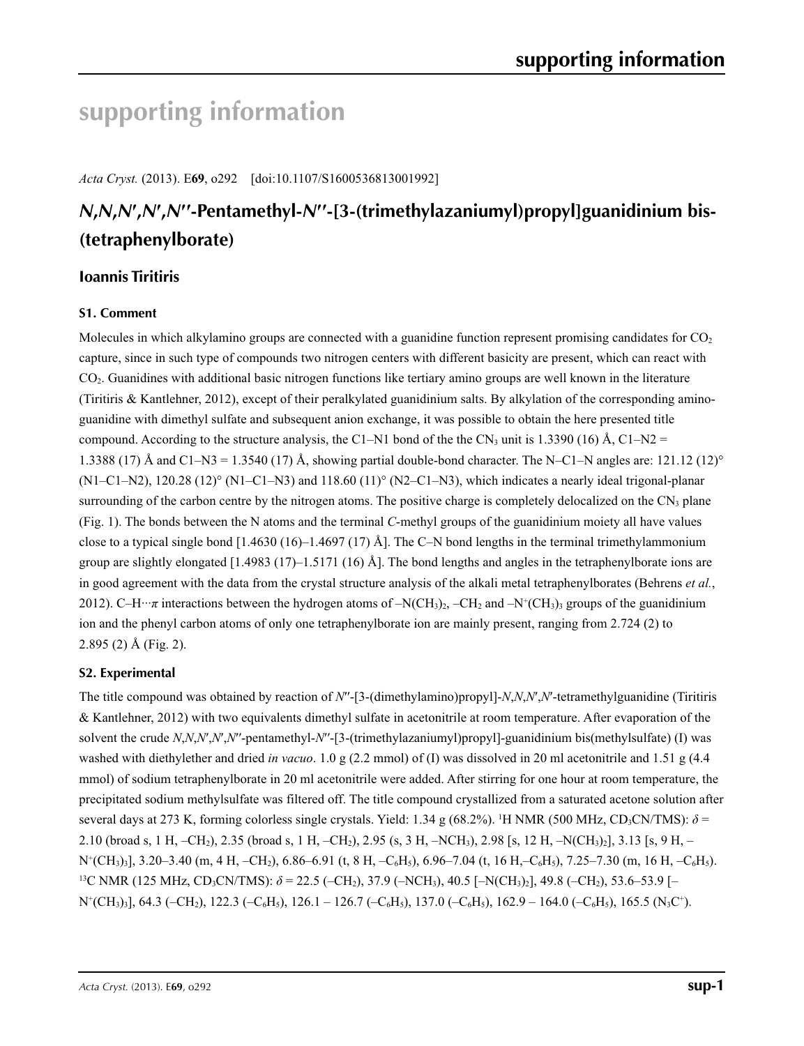# **supporting information**

*Acta Cryst.* (2013). E**69**, o292 [doi:10.1107/S1600536813001992]

# *N***,***N***,***N***′ ,***N***′ ,***N***′′-Pentamethyl-***N***′′-[3-(trimethylazaniumyl)propyl]guanidinium bis- (tetraphenylborate)**

# **Ioannis Tiritiris**

# **S1. Comment**

Molecules in which alkylamino groups are connected with a guanidine function represent promising candidates for  $CO<sub>2</sub>$ capture, since in such type of compounds two nitrogen centers with different basicity are present, which can react with CO2. Guanidines with additional basic nitrogen functions like tertiary amino groups are well known in the literature (Tiritiris & Kantlehner, 2012), except of their peralkylated guanidinium salts. By alkylation of the corresponding aminoguanidine with dimethyl sulfate and subsequent anion exchange, it was possible to obtain the here presented title compound. According to the structure analysis, the C1–N1 bond of the the CN<sub>3</sub> unit is 1.3390 (16) Å, C1–N2 = 1.3388 (17) Å and C1–N3 = 1.3540 (17) Å, showing partial double-bond character. The N–C1–N angles are: 121.12 (12)<sup>o</sup>  $(N1–C1–N2)$ , 120.28 (12)° (N1–C1–N3) and 118.60 (11)° (N2–C1–N3), which indicates a nearly ideal trigonal-planar surrounding of the carbon centre by the nitrogen atoms. The positive charge is completely delocalized on the  $CN<sub>3</sub>$  plane (Fig. 1). The bonds between the N atoms and the terminal *C*-methyl groups of the guanidinium moiety all have values close to a typical single bond  $[1.4630 (16) - 1.4697 (17)$  Å]. The C-N bond lengths in the terminal trimethylammonium group are slightly elongated  $[1.4983 (17) -1.5171 (16)$  Å]. The bond lengths and angles in the tetraphenylborate ions are in good agreement with the data from the crystal structure analysis of the alkali metal tetraphenylborates (Behrens *et al.*, 2012). C–H···*π* interactions between the hydrogen atoms of –N(CH<sub>3</sub>)<sub>2</sub>, –CH<sub>2</sub> and –N<sup>+</sup>(CH<sub>3</sub>)<sub>3</sub> groups of the guanidinium ion and the phenyl carbon atoms of only one tetraphenylborate ion are mainly present, ranging from 2.724 (2) to 2.895 (2) Å (Fig. 2).

## **S2. Experimental**

The title compound was obtained by reaction of *N*′′-[3-(dimethylamino)propyl]-*N*,*N*,*N*′,*N*′-tetramethylguanidine (Tiritiris & Kantlehner, 2012) with two equivalents dimethyl sulfate in acetonitrile at room temperature. After evaporation of the solvent the crude *N*,*N*,*N*′,*N*′,*N*′′-pentamethyl-*N*′′-[3-(trimethylazaniumyl)propyl]-guanidinium bis(methylsulfate) (I) was washed with diethylether and dried *in vacuo*. 1.0 g (2.2 mmol) of (I) was dissolved in 20 ml acetonitrile and 1.51 g (4.4 mmol) of sodium tetraphenylborate in 20 ml acetonitrile were added. After stirring for one hour at room temperature, the precipitated sodium methylsulfate was filtered off. The title compound crystallized from a saturated acetone solution after several days at 273 K, forming colorless single crystals. Yield: 1.34 g (68.2%). <sup>1</sup>H NMR (500 MHz, CD<sub>3</sub>CN/TMS):  $\delta$  = 2.10 (broad s, 1 H, –CH<sub>2</sub>), 2.35 (broad s, 1 H, –CH<sub>2</sub>), 2.95 (s, 3 H, –NCH<sub>3</sub>), 2.98 [s, 12 H, –N(CH<sub>3</sub>)<sub>2</sub>], 3.13 [s, 9 H, –  $N^+(CH_3)_3$ ], 3.20–3.40 (m, 4 H, –CH<sub>2</sub>), 6.86–6.91 (t, 8 H, –C<sub>6</sub>H<sub>5</sub>), 6.96–7.04 (t, 16 H,–C<sub>6</sub>H<sub>5</sub>), 7.25–7.30 (m, 16 H, –C<sub>6</sub>H<sub>5</sub>). <sup>13</sup>C NMR (125 MHz, CD<sub>3</sub>CN/TMS):  $\delta$  = 22.5 (–CH<sub>2</sub>), 37.9 (–NCH<sub>3</sub>), 40.5 [–N(CH<sub>3</sub>)<sub>2</sub>], 49.8 (–CH<sub>2</sub>), 53.6–53.9 [–  $N^+(CH_3)_3$ ], 64.3 (–CH<sub>2</sub>), 122.3 (–C<sub>6</sub>H<sub>5</sub>), 126.1 – 126.7 (–C<sub>6</sub>H<sub>5</sub>), 137.0 (–C<sub>6</sub>H<sub>5</sub>), 162.9 – 164.0 (–C<sub>6</sub>H<sub>5</sub>), 165.5 (N<sub>3</sub>C<sup>+</sup>).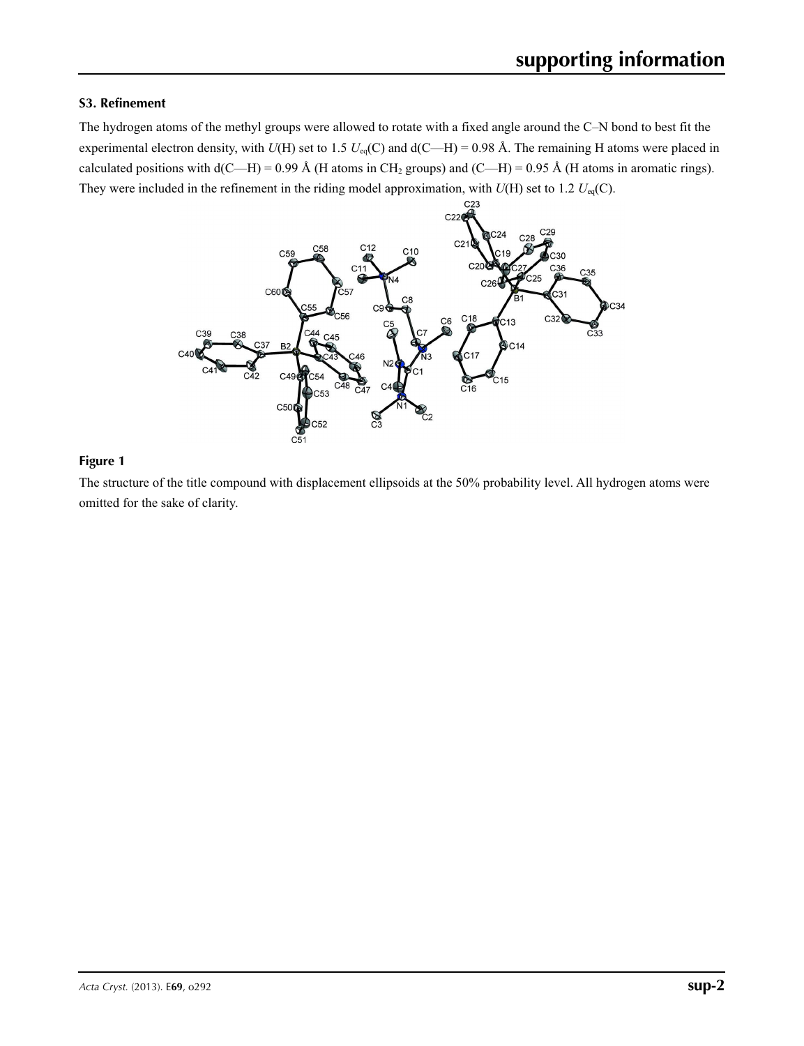### **S3. Refinement**

The hydrogen atoms of the methyl groups were allowed to rotate with a fixed angle around the C–N bond to best fit the experimental electron density, with  $U(H)$  set to 1.5  $U_{eq}(C)$  and  $d(C-H) = 0.98$  Å. The remaining H atoms were placed in calculated positions with d(C—H) = 0.99 Å (H atoms in CH<sub>2</sub> groups) and (C—H) = 0.95 Å (H atoms in aromatic rings). They were included in the refinement in the riding model approximation, with *U*(H) set to 1.2 *U*eq(C).



## **Figure 1**

The structure of the title compound with displacement ellipsoids at the 50% probability level. All hydrogen atoms were omitted for the sake of clarity.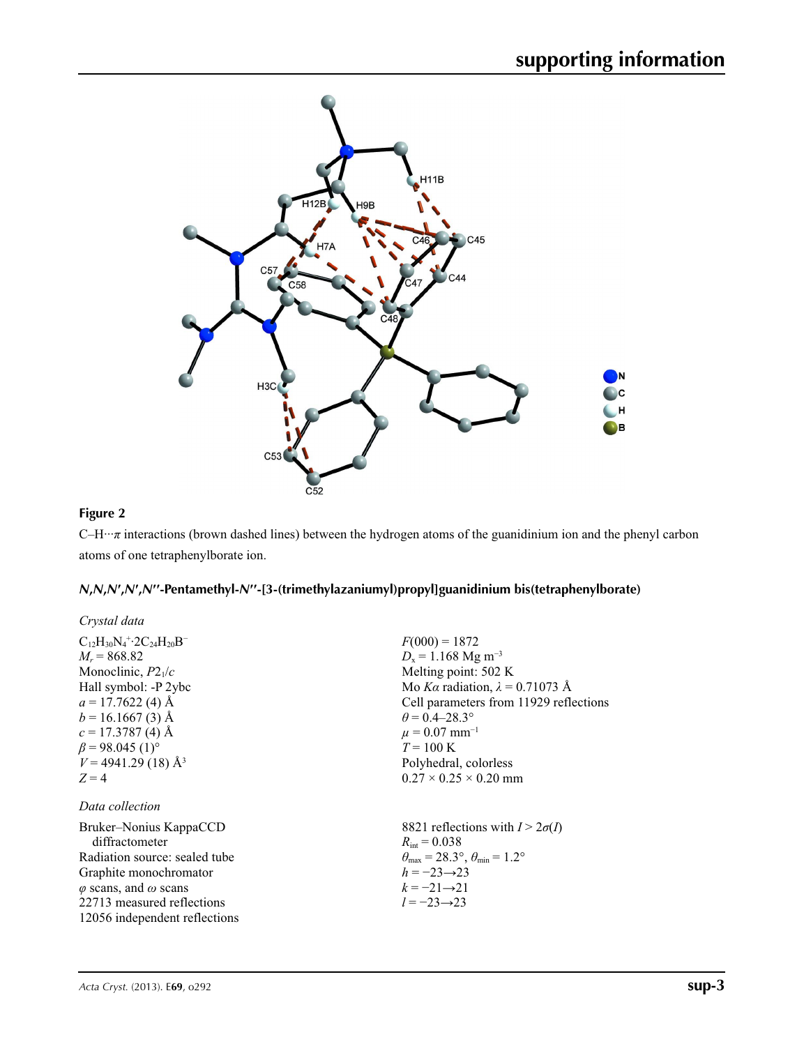

# **Figure 2**

C–H···*π* interactions (brown dashed lines) between the hydrogen atoms of the guanidinium ion and the phenyl carbon atoms of one tetraphenylborate ion.

# *N***,***N***,***N***′,***N***′,***N***′′-Pentamethyl-***N***′′-[3-(trimethylazaniumyl)propyl]guanidinium bis(tetraphenylborate)**

| Crystal data                                                                                                                                                                                                                                                                                           |                                                                                                                                                                                                                                                                                                               |
|--------------------------------------------------------------------------------------------------------------------------------------------------------------------------------------------------------------------------------------------------------------------------------------------------------|---------------------------------------------------------------------------------------------------------------------------------------------------------------------------------------------------------------------------------------------------------------------------------------------------------------|
| $C_{12}H_{30}N_4$ <sup>+</sup> ·2C <sub>24</sub> H <sub>20</sub> B <sup>-</sup><br>$M_r = 868.82$<br>Monoclinic, $P2_1/c$<br>Hall symbol: -P 2ybc<br>$a = 17.7622$ (4) Å<br>$b = 16.1667(3)$ Å<br>$c = 17.3787(4)$ Å<br>$\beta$ = 98.045 (1) <sup>o</sup><br>$V = 4941.29(18)$ Å <sup>3</sup><br>$Z=4$ | $F(000) = 1872$<br>$D_x = 1.168$ Mg m <sup>-3</sup><br>Melting point: 502 K<br>Mo Ka radiation, $\lambda = 0.71073$ Å<br>Cell parameters from 11929 reflections<br>$\theta$ = 0.4–28.3°<br>$\mu = 0.07$ mm <sup>-1</sup><br>$T = 100 \text{ K}$<br>Polyhedral, colorless<br>$0.27 \times 0.25 \times 0.20$ mm |
| Data collection                                                                                                                                                                                                                                                                                        |                                                                                                                                                                                                                                                                                                               |
| Bruker–Nonius KappaCCD<br>diffractometer<br>Radiation source: sealed tube<br>Graphite monochromator<br>$\varphi$ scans, and $\omega$ scans<br>22713 measured reflections<br>12056 independent reflections                                                                                              | 8821 reflections with $I > 2\sigma(I)$<br>$R_{\text{int}} = 0.038$<br>$\theta_{\rm max}$ = 28.3°, $\theta_{\rm min}$ = 1.2°<br>$h = -23 \rightarrow 23$<br>$k = -21 \rightarrow 21$<br>$l = -23 \rightarrow 23$                                                                                               |
|                                                                                                                                                                                                                                                                                                        |                                                                                                                                                                                                                                                                                                               |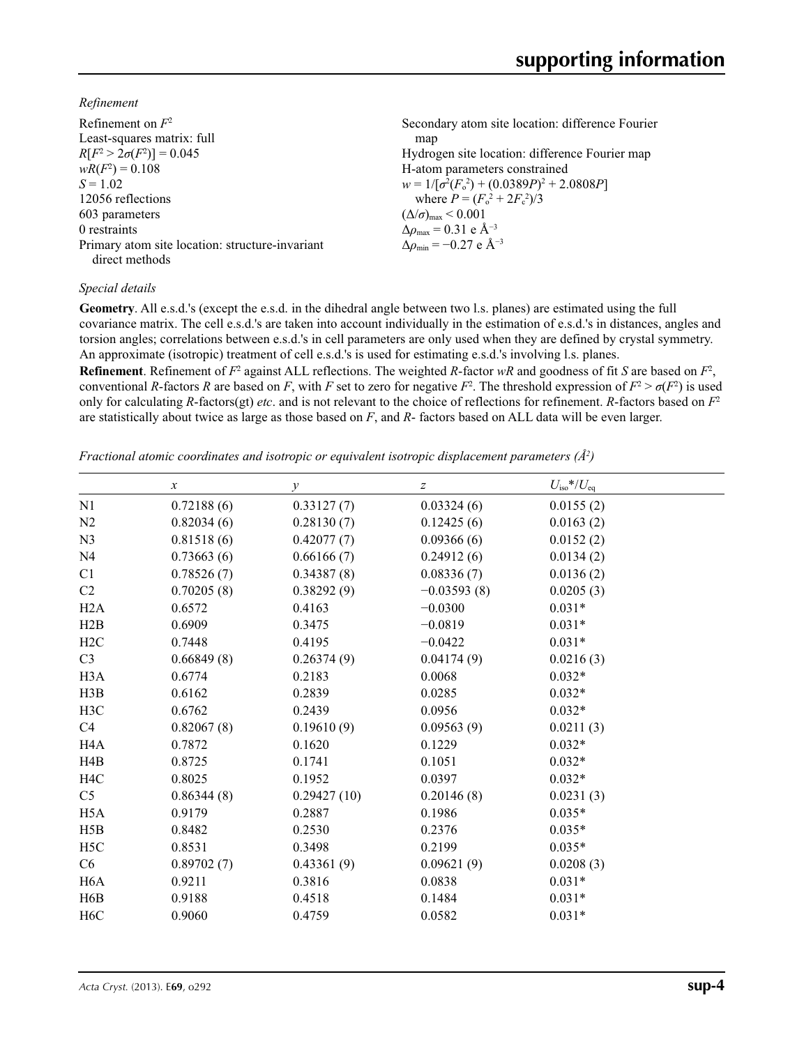*Refinement*

| Refinement on $F^2$                             | Secondary atom site location: difference Fourier   |
|-------------------------------------------------|----------------------------------------------------|
| Least-squares matrix: full                      | map                                                |
| $R[F^2 > 2\sigma(F^2)] = 0.045$                 | Hydrogen site location: difference Fourier map     |
| $wR(F^2) = 0.108$                               | H-atom parameters constrained                      |
| $S = 1.02$                                      | $w = 1/[\sigma^2(F_0^2) + (0.0389P)^2 + 2.0808P]$  |
| 12056 reflections                               | where $P = (F_o^2 + 2F_c^2)/3$                     |
| 603 parameters                                  | $(\Delta/\sigma)_{\text{max}}$ < 0.001             |
| 0 restraints                                    | $\Delta \rho_{\text{max}} = 0.31 \text{ e A}^{-3}$ |
| Primary atom site location: structure-invariant | $\Delta\rho_{\rm min} = -0.27$ e Å <sup>-3</sup>   |
| direct methods                                  |                                                    |

### *Special details*

**Geometry**. All e.s.d.'s (except the e.s.d. in the dihedral angle between two l.s. planes) are estimated using the full covariance matrix. The cell e.s.d.'s are taken into account individually in the estimation of e.s.d.'s in distances, angles and torsion angles; correlations between e.s.d.'s in cell parameters are only used when they are defined by crystal symmetry. An approximate (isotropic) treatment of cell e.s.d.'s is used for estimating e.s.d.'s involving l.s. planes.

**Refinement**. Refinement of  $F^2$  against ALL reflections. The weighted R-factor wR and goodness of fit *S* are based on  $F^2$ , conventional *R*-factors *R* are based on *F*, with *F* set to zero for negative  $F^2$ . The threshold expression of  $F^2 > \sigma(F^2)$  is used only for calculating *R*-factors(gt) *etc*. and is not relevant to the choice of reflections for refinement. *R*-factors based on *F*<sup>2</sup> are statistically about twice as large as those based on *F*, and *R*- factors based on ALL data will be even larger.

*Fractional atomic coordinates and isotropic or equivalent isotropic displacement parameters (Å<sup>2</sup>)* 

|                  | $\boldsymbol{\chi}$ | $\mathcal{Y}$ | Z             | $U_{\text{iso}}$ */ $U_{\text{eq}}$ |
|------------------|---------------------|---------------|---------------|-------------------------------------|
| N1               | 0.72188(6)          | 0.33127(7)    | 0.03324(6)    | 0.0155(2)                           |
| N2               | 0.82034(6)          | 0.28130(7)    | 0.12425(6)    | 0.0163(2)                           |
| N <sub>3</sub>   | 0.81518(6)          | 0.42077(7)    | 0.09366(6)    | 0.0152(2)                           |
| N <sub>4</sub>   | 0.73663(6)          | 0.66166(7)    | 0.24912(6)    | 0.0134(2)                           |
| C1               | 0.78526(7)          | 0.34387(8)    | 0.08336(7)    | 0.0136(2)                           |
| C <sub>2</sub>   | 0.70205(8)          | 0.38292(9)    | $-0.03593(8)$ | 0.0205(3)                           |
| H2A              | 0.6572              | 0.4163        | $-0.0300$     | $0.031*$                            |
| H2B              | 0.6909              | 0.3475        | $-0.0819$     | $0.031*$                            |
| H2C              | 0.7448              | 0.4195        | $-0.0422$     | $0.031*$                            |
| C <sub>3</sub>   | 0.66849(8)          | 0.26374(9)    | 0.04174(9)    | 0.0216(3)                           |
| H <sub>3</sub> A | 0.6774              | 0.2183        | 0.0068        | $0.032*$                            |
| H3B              | 0.6162              | 0.2839        | 0.0285        | $0.032*$                            |
| H3C              | 0.6762              | 0.2439        | 0.0956        | $0.032*$                            |
| C4               | 0.82067(8)          | 0.19610(9)    | 0.09563(9)    | 0.0211(3)                           |
| H <sub>4</sub> A | 0.7872              | 0.1620        | 0.1229        | $0.032*$                            |
| H4B              | 0.8725              | 0.1741        | 0.1051        | $0.032*$                            |
| H <sub>4</sub> C | 0.8025              | 0.1952        | 0.0397        | $0.032*$                            |
| C <sub>5</sub>   | 0.86344(8)          | 0.29427(10)   | 0.20146(8)    | 0.0231(3)                           |
| H <sub>5</sub> A | 0.9179              | 0.2887        | 0.1986        | $0.035*$                            |
| H5B              | 0.8482              | 0.2530        | 0.2376        | $0.035*$                            |
| H <sub>5</sub> C | 0.8531              | 0.3498        | 0.2199        | $0.035*$                            |
| C6               | 0.89702(7)          | 0.43361(9)    | 0.09621(9)    | 0.0208(3)                           |
| H <sub>6</sub> A | 0.9211              | 0.3816        | 0.0838        | $0.031*$                            |
| H <sub>6</sub> B | 0.9188              | 0.4518        | 0.1484        | $0.031*$                            |
| H <sub>6</sub> C | 0.9060              | 0.4759        | 0.0582        | $0.031*$                            |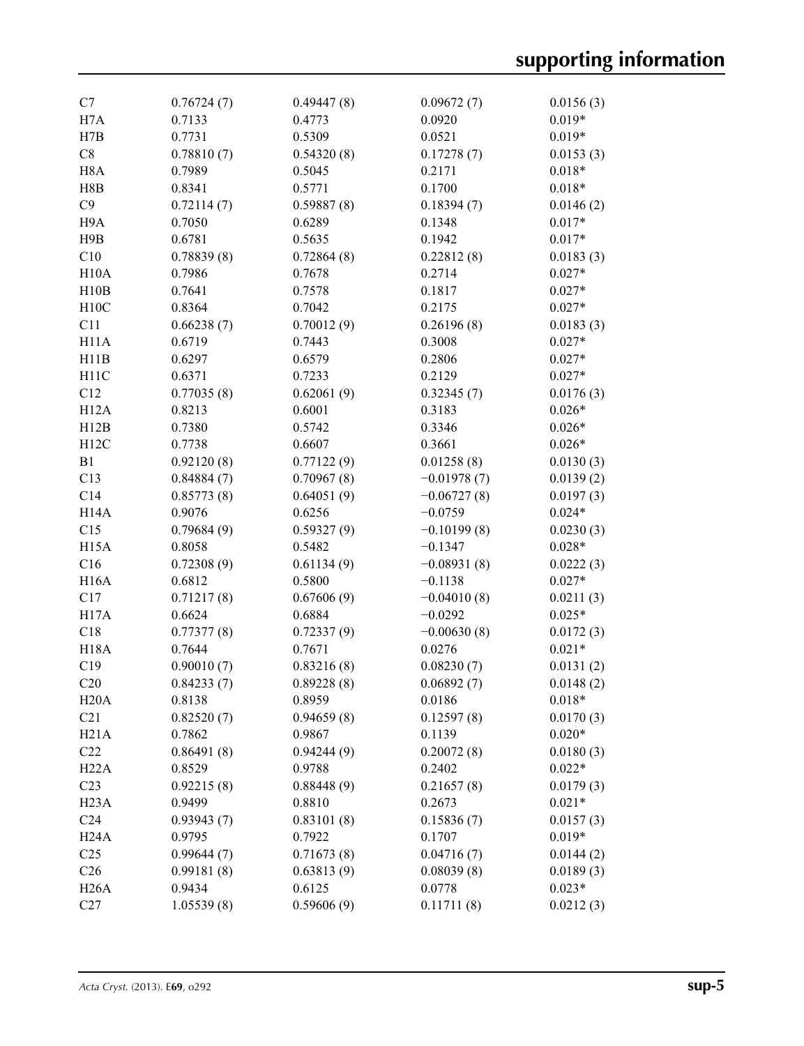| C7                | 0.76724(7) | 0.49447(8) | 0.09672(7)           | 0.0156(3) |
|-------------------|------------|------------|----------------------|-----------|
| H7A               | 0.7133     | 0.4773     | 0.0920               | $0.019*$  |
| H7B               | 0.7731     | 0.5309     | 0.0521               | $0.019*$  |
| C8                | 0.78810(7) | 0.54320(8) | 0.17278(7)           | 0.0153(3) |
| H <sub>8</sub> A  | 0.7989     | 0.5045     | 0.2171               | $0.018*$  |
| H8B               | 0.8341     | 0.5771     | 0.1700               | $0.018*$  |
| C9                | 0.72114(7) | 0.59887(8) | 0.18394(7)           | 0.0146(2) |
| H9A               | 0.7050     | 0.6289     | 0.1348               | $0.017*$  |
| H9B               | 0.6781     | 0.5635     | 0.1942               | $0.017*$  |
| C10               | 0.78839(8) | 0.72864(8) | 0.22812(8)           | 0.0183(3) |
| H10A              | 0.7986     | 0.7678     | 0.2714               | $0.027*$  |
| H10B              | 0.7641     | 0.7578     | 0.1817               | $0.027*$  |
| H10C              | 0.8364     | 0.7042     | 0.2175               | $0.027*$  |
| C11               | 0.66238(7) | 0.70012(9) | 0.26196(8)           | 0.0183(3) |
| H <sub>11</sub> A | 0.6719     | 0.7443     | 0.3008               | $0.027*$  |
| H11B              | 0.6297     | 0.6579     | 0.2806               | $0.027*$  |
| H11C              | 0.6371     | 0.7233     | 0.2129               | $0.027*$  |
| C12               | 0.77035(8) | 0.62061(9) |                      | 0.0176(3) |
| H12A              | 0.8213     | 0.6001     | 0.32345(7)<br>0.3183 | $0.026*$  |
| H12B              |            |            |                      |           |
|                   | 0.7380     | 0.5742     | 0.3346               | $0.026*$  |
| H12C              | 0.7738     | 0.6607     | 0.3661               | $0.026*$  |
| B1                | 0.92120(8) | 0.77122(9) | 0.01258(8)           | 0.0130(3) |
| C13               | 0.84884(7) | 0.70967(8) | $-0.01978(7)$        | 0.0139(2) |
| C14               | 0.85773(8) | 0.64051(9) | $-0.06727(8)$        | 0.0197(3) |
| H <sub>14</sub> A | 0.9076     | 0.6256     | $-0.0759$            | $0.024*$  |
| C15               | 0.79684(9) | 0.59327(9) | $-0.10199(8)$        | 0.0230(3) |
| H <sub>15</sub> A | 0.8058     | 0.5482     | $-0.1347$            | $0.028*$  |
| C16               | 0.72308(9) | 0.61134(9) | $-0.08931(8)$        | 0.0222(3) |
| <b>H16A</b>       | 0.6812     | 0.5800     | $-0.1138$            | $0.027*$  |
| C17               | 0.71217(8) | 0.67606(9) | $-0.04010(8)$        | 0.0211(3) |
| H <sub>17</sub> A | 0.6624     | 0.6884     | $-0.0292$            | $0.025*$  |
| C18               | 0.77377(8) | 0.72337(9) | $-0.00630(8)$        | 0.0172(3) |
| <b>H18A</b>       | 0.7644     | 0.7671     | 0.0276               | $0.021*$  |
| C19               | 0.90010(7) | 0.83216(8) | 0.08230(7)           | 0.0131(2) |
| C20               | 0.84233(7) | 0.89228(8) | 0.06892(7)           | 0.0148(2) |
| H20A              | 0.8138     | 0.8959     | 0.0186               | $0.018*$  |
| C21               | 0.82520(7) | 0.94659(8) | 0.12597(8)           | 0.0170(3) |
| H21A              | 0.7862     | 0.9867     | 0.1139               | $0.020*$  |
| C22               | 0.86491(8) | 0.94244(9) | 0.20072(8)           | 0.0180(3) |
| H22A              | 0.8529     | 0.9788     | 0.2402               | $0.022*$  |
| C <sub>23</sub>   | 0.92215(8) | 0.88448(9) | 0.21657(8)           | 0.0179(3) |
| H23A              | 0.9499     | 0.8810     | 0.2673               | $0.021*$  |
| C <sub>24</sub>   | 0.93943(7) | 0.83101(8) | 0.15836(7)           | 0.0157(3) |
| H <sub>24</sub> A | 0.9795     | 0.7922     | 0.1707               | $0.019*$  |
| C <sub>25</sub>   | 0.99644(7) | 0.71673(8) | 0.04716(7)           | 0.0144(2) |
| C <sub>26</sub>   | 0.99181(8) | 0.63813(9) | 0.08039(8)           | 0.0189(3) |
|                   |            |            |                      |           |
| H <sub>26</sub> A | 0.9434     | 0.6125     | 0.0778               | $0.023*$  |
| C27               | 1.05539(8) | 0.59606(9) | 0.11711(8)           | 0.0212(3) |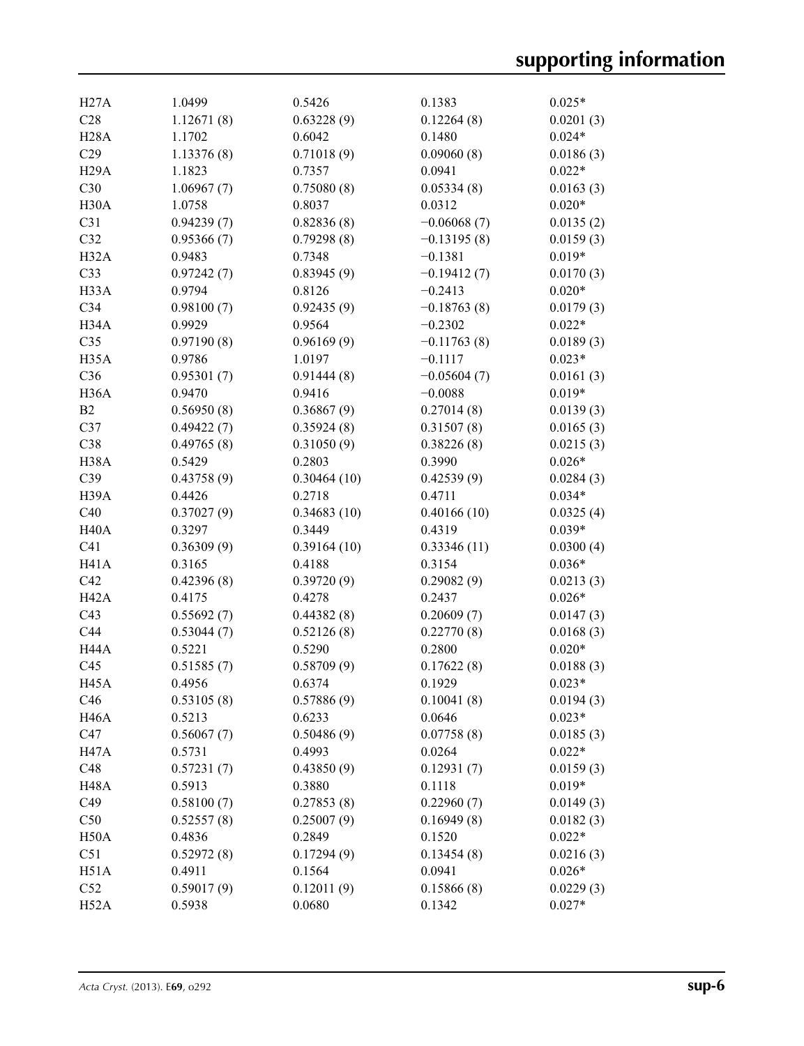| H27A              | 1.0499     | 0.5426      | 0.1383        | $0.025*$  |
|-------------------|------------|-------------|---------------|-----------|
| C28               | 1.12671(8) | 0.63228(9)  | 0.12264(8)    | 0.0201(3) |
| <b>H28A</b>       | 1.1702     | 0.6042      | 0.1480        | $0.024*$  |
| C29               | 1.13376(8) | 0.71018(9)  | 0.09060(8)    | 0.0186(3) |
| H <sub>29</sub> A | 1.1823     | 0.7357      | 0.0941        | $0.022*$  |
| C30               | 1.06967(7) | 0.75080(8)  | 0.05334(8)    | 0.0163(3) |
| H <sub>30</sub> A | 1.0758     | 0.8037      | 0.0312        | $0.020*$  |
| C31               | 0.94239(7) | 0.82836(8)  | $-0.06068(7)$ | 0.0135(2) |
| C32               | 0.95366(7) | 0.79298(8)  | $-0.13195(8)$ | 0.0159(3) |
| H <sub>32</sub> A | 0.9483     | 0.7348      | $-0.1381$     | $0.019*$  |
| C33               | 0.97242(7) | 0.83945(9)  | $-0.19412(7)$ | 0.0170(3) |
| H33A              | 0.9794     | 0.8126      | $-0.2413$     | $0.020*$  |
| C34               | 0.98100(7) | 0.92435(9)  | $-0.18763(8)$ | 0.0179(3) |
| H34A              | 0.9929     | 0.9564      | $-0.2302$     | $0.022*$  |
| C <sub>35</sub>   | 0.97190(8) | 0.96169(9)  | $-0.11763(8)$ | 0.0189(3) |
| H <sub>35</sub> A | 0.9786     | 1.0197      | $-0.1117$     | $0.023*$  |
| C36               | 0.95301(7) | 0.91444(8)  | $-0.05604(7)$ | 0.0161(3) |
| H <sub>36</sub> A | 0.9470     | 0.9416      | $-0.0088$     | $0.019*$  |
| B2                | 0.56950(8) | 0.36867(9)  | 0.27014(8)    | 0.0139(3) |
| C37               | 0.49422(7) | 0.35924(8)  | 0.31507(8)    | 0.0165(3) |
| C38               | 0.49765(8) | 0.31050(9)  | 0.38226(8)    | 0.0215(3) |
| H38A              | 0.5429     | 0.2803      | 0.3990        | $0.026*$  |
| C39               | 0.43758(9) | 0.30464(10) | 0.42539(9)    | 0.0284(3) |
| H <sub>39</sub> A | 0.4426     | 0.2718      | 0.4711        | $0.034*$  |
| C40               | 0.37027(9) | 0.34683(10) | 0.40166(10)   | 0.0325(4) |
| H <sub>40</sub> A | 0.3297     | 0.3449      | 0.4319        | $0.039*$  |
| C <sub>41</sub>   | 0.36309(9) | 0.39164(10) | 0.33346(11)   | 0.0300(4) |
| H <sub>41</sub> A | 0.3165     | 0.4188      | 0.3154        | $0.036*$  |
| C42               | 0.42396(8) | 0.39720(9)  | 0.29082(9)    | 0.0213(3) |
| H <sub>42</sub> A | 0.4175     | 0.4278      | 0.2437        | $0.026*$  |
| C43               | 0.55692(7) | 0.44382(8)  | 0.20609(7)    | 0.0147(3) |
| C44               | 0.53044(7) | 0.52126(8)  | 0.22770(8)    | 0.0168(3) |
| H44A              | 0.5221     | 0.5290      | 0.2800        | $0.020*$  |
| C45               | 0.51585(7) | 0.58709(9)  | 0.17622(8)    | 0.0188(3) |
| H <sub>45</sub> A | 0.4956     | 0.6374      | 0.1929        | $0.023*$  |
| C46               | 0.53105(8) | 0.57886(9)  | 0.10041(8)    | 0.0194(3) |
| H <sub>46</sub> A | 0.5213     | 0.6233      | 0.0646        | $0.023*$  |
| C47               | 0.56067(7) | 0.50486(9)  | 0.07758(8)    | 0.0185(3) |
| H <sub>47</sub> A | 0.5731     | 0.4993      | 0.0264        | $0.022*$  |
| C48               | 0.57231(7) | 0.43850(9)  | 0.12931(7)    | 0.0159(3) |
| <b>H48A</b>       | 0.5913     | 0.3880      | 0.1118        | $0.019*$  |
| C49               | 0.58100(7) | 0.27853(8)  | 0.22960(7)    | 0.0149(3) |
| C50               | 0.52557(8) | 0.25007(9)  | 0.16949(8)    | 0.0182(3) |
| H <sub>50</sub> A | 0.4836     | 0.2849      | 0.1520        | $0.022*$  |
| C51               | 0.52972(8) | 0.17294(9)  | 0.13454(8)    | 0.0216(3) |
| H51A              | 0.4911     | 0.1564      | 0.0941        | $0.026*$  |
| C52               | 0.59017(9) | 0.12011(9)  | 0.15866(8)    | 0.0229(3) |
| H52A              | 0.5938     | 0.0680      | 0.1342        | $0.027*$  |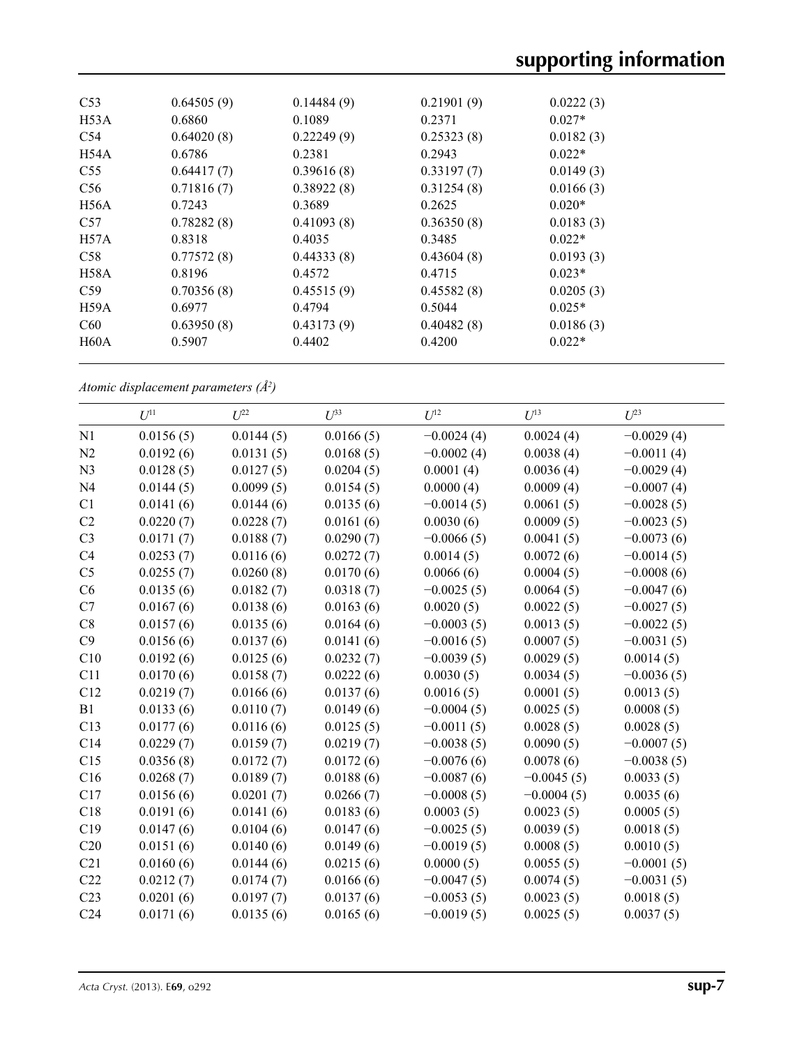| C <sub>53</sub>  | 0.64505(9) | 0.14484(9) | 0.21901(9) | 0.0222(3) |
|------------------|------------|------------|------------|-----------|
| H <sub>53A</sub> | 0.6860     | 0.1089     | 0.2371     | $0.027*$  |
| C <sub>54</sub>  | 0.64020(8) | 0.22249(9) | 0.25323(8) | 0.0182(3) |
| H54A             | 0.6786     | 0.2381     | 0.2943     | $0.022*$  |
| C <sub>55</sub>  | 0.64417(7) | 0.39616(8) | 0.33197(7) | 0.0149(3) |
| C56              | 0.71816(7) | 0.38922(8) | 0.31254(8) | 0.0166(3) |
| H56A             | 0.7243     | 0.3689     | 0.2625     | $0.020*$  |
| C57              | 0.78282(8) | 0.41093(8) | 0.36350(8) | 0.0183(3) |
| H57A             | 0.8318     | 0.4035     | 0.3485     | $0.022*$  |
| C58              | 0.77572(8) | 0.44333(8) | 0.43604(8) | 0.0193(3) |
| H58A             | 0.8196     | 0.4572     | 0.4715     | $0.023*$  |
| C <sub>59</sub>  | 0.70356(8) | 0.45515(9) | 0.45582(8) | 0.0205(3) |
| H <sub>59A</sub> | 0.6977     | 0.4794     | 0.5044     | $0.025*$  |
| C60              | 0.63950(8) | 0.43173(9) | 0.40482(8) | 0.0186(3) |
| H60A             | 0.5907     | 0.4402     | 0.4200     | $0.022*$  |

*Atomic displacement parameters (Å2 )*

|                 | $U^{11}$  | $U^{22}$  | $U^{33}$  | $U^{12}$     | $U^{13}$     | $U^{23}$     |
|-----------------|-----------|-----------|-----------|--------------|--------------|--------------|
| N <sub>1</sub>  | 0.0156(5) | 0.0144(5) | 0.0166(5) | $-0.0024(4)$ | 0.0024(4)    | $-0.0029(4)$ |
| N2              | 0.0192(6) | 0.0131(5) | 0.0168(5) | $-0.0002(4)$ | 0.0038(4)    | $-0.0011(4)$ |
| N <sub>3</sub>  | 0.0128(5) | 0.0127(5) | 0.0204(5) | 0.0001(4)    | 0.0036(4)    | $-0.0029(4)$ |
| N <sub>4</sub>  | 0.0144(5) | 0.0099(5) | 0.0154(5) | 0.0000(4)    | 0.0009(4)    | $-0.0007(4)$ |
| C1              | 0.0141(6) | 0.0144(6) | 0.0135(6) | $-0.0014(5)$ | 0.0061(5)    | $-0.0028(5)$ |
| C <sub>2</sub>  | 0.0220(7) | 0.0228(7) | 0.0161(6) | 0.0030(6)    | 0.0009(5)    | $-0.0023(5)$ |
| C <sub>3</sub>  | 0.0171(7) | 0.0188(7) | 0.0290(7) | $-0.0066(5)$ | 0.0041(5)    | $-0.0073(6)$ |
| C4              | 0.0253(7) | 0.0116(6) | 0.0272(7) | 0.0014(5)    | 0.0072(6)    | $-0.0014(5)$ |
| C <sub>5</sub>  | 0.0255(7) | 0.0260(8) | 0.0170(6) | 0.0066(6)    | 0.0004(5)    | $-0.0008(6)$ |
| C6              | 0.0135(6) | 0.0182(7) | 0.0318(7) | $-0.0025(5)$ | 0.0064(5)    | $-0.0047(6)$ |
| C7              | 0.0167(6) | 0.0138(6) | 0.0163(6) | 0.0020(5)    | 0.0022(5)    | $-0.0027(5)$ |
| C8              | 0.0157(6) | 0.0135(6) | 0.0164(6) | $-0.0003(5)$ | 0.0013(5)    | $-0.0022(5)$ |
| C9              | 0.0156(6) | 0.0137(6) | 0.0141(6) | $-0.0016(5)$ | 0.0007(5)    | $-0.0031(5)$ |
| C10             | 0.0192(6) | 0.0125(6) | 0.0232(7) | $-0.0039(5)$ | 0.0029(5)    | 0.0014(5)    |
| C11             | 0.0170(6) | 0.0158(7) | 0.0222(6) | 0.0030(5)    | 0.0034(5)    | $-0.0036(5)$ |
| C12             | 0.0219(7) | 0.0166(6) | 0.0137(6) | 0.0016(5)    | 0.0001(5)    | 0.0013(5)    |
| B1              | 0.0133(6) | 0.0110(7) | 0.0149(6) | $-0.0004(5)$ | 0.0025(5)    | 0.0008(5)    |
| C13             | 0.0177(6) | 0.0116(6) | 0.0125(5) | $-0.0011(5)$ | 0.0028(5)    | 0.0028(5)    |
| C14             | 0.0229(7) | 0.0159(7) | 0.0219(7) | $-0.0038(5)$ | 0.0090(5)    | $-0.0007(5)$ |
| C15             | 0.0356(8) | 0.0172(7) | 0.0172(6) | $-0.0076(6)$ | 0.0078(6)    | $-0.0038(5)$ |
| C16             | 0.0268(7) | 0.0189(7) | 0.0188(6) | $-0.0087(6)$ | $-0.0045(5)$ | 0.0033(5)    |
| C17             | 0.0156(6) | 0.0201(7) | 0.0266(7) | $-0.0008(5)$ | $-0.0004(5)$ | 0.0035(6)    |
| C18             | 0.0191(6) | 0.0141(6) | 0.0183(6) | 0.0003(5)    | 0.0023(5)    | 0.0005(5)    |
| C19             | 0.0147(6) | 0.0104(6) | 0.0147(6) | $-0.0025(5)$ | 0.0039(5)    | 0.0018(5)    |
| C20             | 0.0151(6) | 0.0140(6) | 0.0149(6) | $-0.0019(5)$ | 0.0008(5)    | 0.0010(5)    |
| C21             | 0.0160(6) | 0.0144(6) | 0.0215(6) | 0.0000(5)    | 0.0055(5)    | $-0.0001(5)$ |
| C22             | 0.0212(7) | 0.0174(7) | 0.0166(6) | $-0.0047(5)$ | 0.0074(5)    | $-0.0031(5)$ |
| C <sub>23</sub> | 0.0201(6) | 0.0197(7) | 0.0137(6) | $-0.0053(5)$ | 0.0023(5)    | 0.0018(5)    |
| C <sub>24</sub> | 0.0171(6) | 0.0135(6) | 0.0165(6) | $-0.0019(5)$ | 0.0025(5)    | 0.0037(5)    |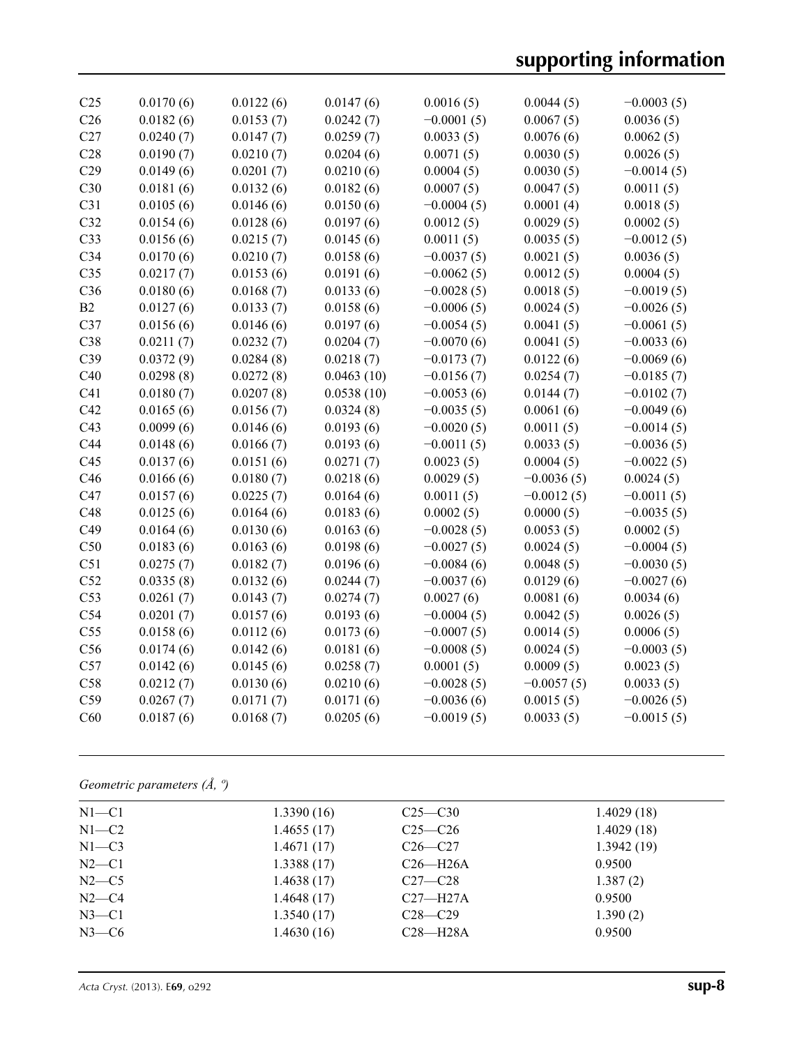| C <sub>25</sub> | 0.0170(6) | 0.0122(6) | 0.0147(6)  | 0.0016(5)    | 0.0044(5)    | $-0.0003(5)$ |
|-----------------|-----------|-----------|------------|--------------|--------------|--------------|
| C <sub>26</sub> | 0.0182(6) | 0.0153(7) | 0.0242(7)  | $-0.0001(5)$ | 0.0067(5)    | 0.0036(5)    |
| C27             | 0.0240(7) | 0.0147(7) | 0.0259(7)  | 0.0033(5)    | 0.0076(6)    | 0.0062(5)    |
| C28             | 0.0190(7) | 0.0210(7) | 0.0204(6)  | 0.0071(5)    | 0.0030(5)    | 0.0026(5)    |
| C29             | 0.0149(6) | 0.0201(7) | 0.0210(6)  | 0.0004(5)    | 0.0030(5)    | $-0.0014(5)$ |
| C30             | 0.0181(6) | 0.0132(6) | 0.0182(6)  | 0.0007(5)    | 0.0047(5)    | 0.0011(5)    |
| C31             | 0.0105(6) | 0.0146(6) | 0.0150(6)  | $-0.0004(5)$ | 0.0001(4)    | 0.0018(5)    |
| C32             | 0.0154(6) | 0.0128(6) | 0.0197(6)  | 0.0012(5)    | 0.0029(5)    | 0.0002(5)    |
| C33             | 0.0156(6) | 0.0215(7) | 0.0145(6)  | 0.0011(5)    | 0.0035(5)    | $-0.0012(5)$ |
| C34             | 0.0170(6) | 0.0210(7) | 0.0158(6)  | $-0.0037(5)$ | 0.0021(5)    | 0.0036(5)    |
| C <sub>35</sub> | 0.0217(7) | 0.0153(6) | 0.0191(6)  | $-0.0062(5)$ | 0.0012(5)    | 0.0004(5)    |
| C36             | 0.0180(6) | 0.0168(7) | 0.0133(6)  | $-0.0028(5)$ | 0.0018(5)    | $-0.0019(5)$ |
| B2              | 0.0127(6) | 0.0133(7) | 0.0158(6)  | $-0.0006(5)$ | 0.0024(5)    | $-0.0026(5)$ |
| C37             | 0.0156(6) | 0.0146(6) | 0.0197(6)  | $-0.0054(5)$ | 0.0041(5)    | $-0.0061(5)$ |
| C38             | 0.0211(7) | 0.0232(7) | 0.0204(7)  | $-0.0070(6)$ | 0.0041(5)    | $-0.0033(6)$ |
| C39             | 0.0372(9) | 0.0284(8) | 0.0218(7)  | $-0.0173(7)$ | 0.0122(6)    | $-0.0069(6)$ |
| C40             | 0.0298(8) | 0.0272(8) | 0.0463(10) | $-0.0156(7)$ | 0.0254(7)    | $-0.0185(7)$ |
| C41             | 0.0180(7) | 0.0207(8) | 0.0538(10) | $-0.0053(6)$ | 0.0144(7)    | $-0.0102(7)$ |
| C42             | 0.0165(6) | 0.0156(7) | 0.0324(8)  | $-0.0035(5)$ | 0.0061(6)    | $-0.0049(6)$ |
| C43             | 0.0099(6) | 0.0146(6) | 0.0193(6)  | $-0.0020(5)$ | 0.0011(5)    | $-0.0014(5)$ |
| C44             | 0.0148(6) | 0.0166(7) | 0.0193(6)  | $-0.0011(5)$ | 0.0033(5)    | $-0.0036(5)$ |
| C45             | 0.0137(6) | 0.0151(6) | 0.0271(7)  | 0.0023(5)    | 0.0004(5)    | $-0.0022(5)$ |
| C46             | 0.0166(6) | 0.0180(7) | 0.0218(6)  | 0.0029(5)    | $-0.0036(5)$ | 0.0024(5)    |
| C47             | 0.0157(6) | 0.0225(7) | 0.0164(6)  | 0.0011(5)    | $-0.0012(5)$ | $-0.0011(5)$ |
| C48             | 0.0125(6) | 0.0164(6) | 0.0183(6)  | 0.0002(5)    | 0.0000(5)    | $-0.0035(5)$ |
| C49             | 0.0164(6) | 0.0130(6) | 0.0163(6)  | $-0.0028(5)$ | 0.0053(5)    | 0.0002(5)    |
| C50             | 0.0183(6) | 0.0163(6) | 0.0198(6)  | $-0.0027(5)$ | 0.0024(5)    | $-0.0004(5)$ |
| C51             | 0.0275(7) | 0.0182(7) | 0.0196(6)  | $-0.0084(6)$ | 0.0048(5)    | $-0.0030(5)$ |
| C52             | 0.0335(8) | 0.0132(6) | 0.0244(7)  | $-0.0037(6)$ | 0.0129(6)    | $-0.0027(6)$ |
| C53             | 0.0261(7) | 0.0143(7) | 0.0274(7)  | 0.0027(6)    | 0.0081(6)    | 0.0034(6)    |
| C54             | 0.0201(7) | 0.0157(6) | 0.0193(6)  | $-0.0004(5)$ | 0.0042(5)    | 0.0026(5)    |
| C <sub>55</sub> | 0.0158(6) | 0.0112(6) | 0.0173(6)  | $-0.0007(5)$ | 0.0014(5)    | 0.0006(5)    |
| C56             | 0.0174(6) | 0.0142(6) | 0.0181(6)  | $-0.0008(5)$ | 0.0024(5)    | $-0.0003(5)$ |
| C57             | 0.0142(6) | 0.0145(6) | 0.0258(7)  | 0.0001(5)    | 0.0009(5)    | 0.0023(5)    |
| C58             | 0.0212(7) | 0.0130(6) | 0.0210(6)  | $-0.0028(5)$ | $-0.0057(5)$ | 0.0033(5)    |
| C59             | 0.0267(7) | 0.0171(7) | 0.0171(6)  | $-0.0036(6)$ | 0.0015(5)    | $-0.0026(5)$ |
| C60             | 0.0187(6) | 0.0168(7) | 0.0205(6)  | $-0.0019(5)$ | 0.0033(5)    | $-0.0015(5)$ |
|                 |           |           |            |              |              |              |

*Geometric parameters (Å, º)*

| $N1 - C1$ | 1.3390(16) | $C25-C30$    | 1.4029(18) |
|-----------|------------|--------------|------------|
| $N1-C2$   | 1.4655(17) | $C25-C26$    | 1.4029(18) |
| $N1-C3$   | 1.4671(17) | $C26-C27$    | 1.3942(19) |
| $N2-C1$   | 1.3388(17) | $C26 - H26A$ | 0.9500     |
| $N2-C5$   | 1.4638(17) | $C27 - C28$  | 1.387(2)   |
| $N2-C4$   | 1.4648(17) | $C27 - H27A$ | 0.9500     |
| $N3 - C1$ | 1.3540(17) | $C28 - C29$  | 1.390(2)   |
| $N3-C6$   | 1.4630(16) | $C28 - H28A$ | 0.9500     |
|           |            |              |            |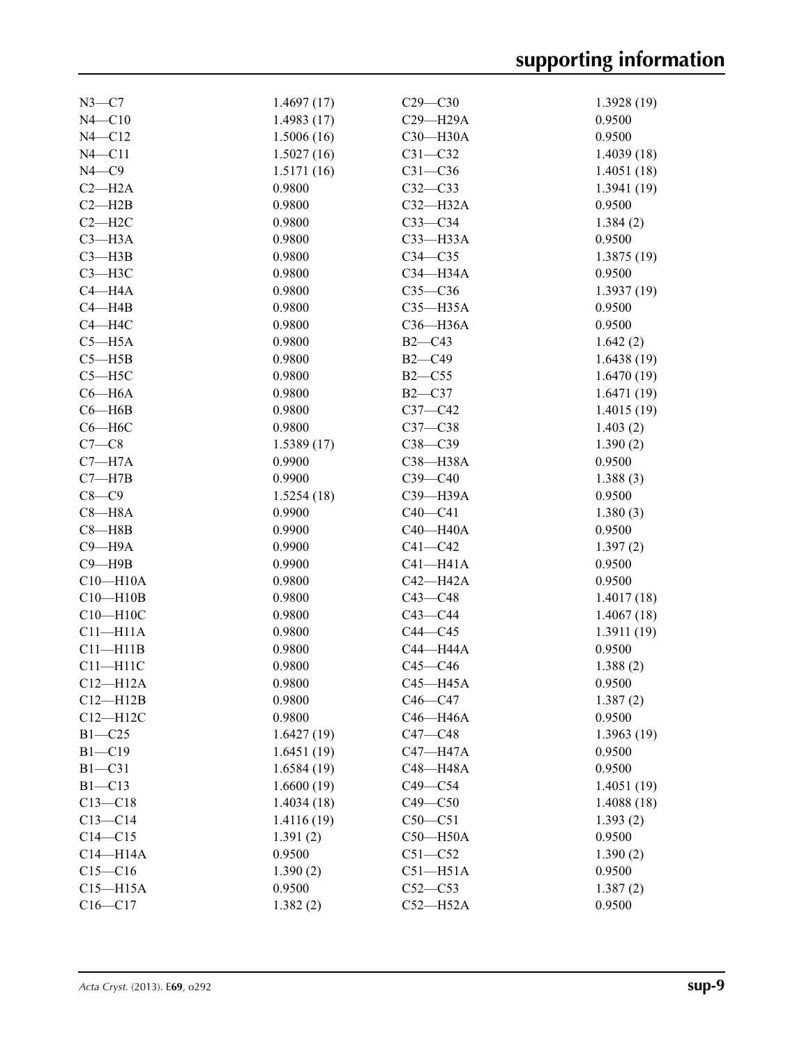| $N3-C7$      | 1.4697(17) | $C29 - C30$  | 1.3928(19)  |
|--------------|------------|--------------|-------------|
| $N4 - C10$   | 1.4983(17) | C29-H29A     | 0.9500      |
| $N4 - C12$   | 1.5006(16) | C30-H30A     | 0.9500      |
| $N4 - C11$   | 1.5027(16) | $C31 - C32$  | 1.4039(18)  |
| $N4 - C9$    | 1.5171(16) | $C31 - C36$  | 1.4051(18)  |
| $C2-H2A$     | 0.9800     | $C32-C33$    | 1.3941 (19) |
| $C2 - H2B$   | 0.9800     | $C32-H32A$   | 0.9500      |
| $C2 - H2C$   | 0.9800     | $C33-C34$    | 1.384(2)    |
| $C3 - H3A$   | 0.9800     | C33-H33A     | 0.9500      |
| $C3 - H3B$   | 0.9800     | $C34 - C35$  | 1.3875(19)  |
| $C3 - H3C$   | 0.9800     | C34-H34A     | 0.9500      |
| $C4 - H4A$   | 0.9800     | $C35-C36$    | 1.3937(19)  |
| $C4 - H4B$   | 0.9800     | $C35 - H35A$ | 0.9500      |
| $C4 - H4C$   | 0.9800     | C36-H36A     | 0.9500      |
| $C5 - H5A$   | 0.9800     | $B2-C43$     | 1.642(2)    |
| $C5 - H5B$   | 0.9800     | $B2-C49$     | 1.6438(19)  |
| $C5 - H5C$   | 0.9800     | $B2 - C55$   | 1.6470(19)  |
| $C6 - H6A$   | 0.9800     | $B2-C37$     | 1.6471(19)  |
| $C6 - H6B$   | 0.9800     | $C37-C42$    | 1.4015(19)  |
| $C6 - H6C$   | 0.9800     | $C37-C38$    | 1.403(2)    |
| $C7-C8$      | 1.5389(17) | $C38 - C39$  | 1.390(2)    |
| $C7 - H7A$   | 0.9900     | C38-H38A     | 0.9500      |
| $C7 - H7B$   | 0.9900     | $C39-C40$    | 1.388(3)    |
| $C8-C9$      | 1.5254(18) | C39-H39A     | 0.9500      |
| $C8 - H8A$   | 0.9900     | $C40-C41$    | 1.380(3)    |
| $C8 - H8B$   | 0.9900     | $C40 - H40A$ | 0.9500      |
| $C9 - H9A$   | 0.9900     | $C41 - C42$  | 1.397(2)    |
| $C9 - H9B$   | 0.9900     | $C41 - H41A$ | 0.9500      |
| $C10 - H10A$ | 0.9800     | $C42 - H42A$ | 0.9500      |
| $C10 - H10B$ | 0.9800     | $C43 - C48$  | 1.4017(18)  |
| C10-H10C     | 0.9800     | $C43 - C44$  | 1.4067(18)  |
| $C11 - H11A$ | 0.9800     | $C44 - C45$  | 1.3911 (19) |
| $C11 - H11B$ | 0.9800     | C44-H44A     | 0.9500      |
| $C11 - H11C$ | 0.9800     | $C45-C46$    | 1.388(2)    |
| $C12 - H12A$ | 0.9800     | C45-H45A     | 0.9500      |
| $C12 - H12B$ | 0.9800     | $C46 - C47$  | 1.387(2)    |
| $C12 - H12C$ | 0.9800     | C46-H46A     | 0.9500      |
| $B1 - C25$   | 1.6427(19) | $C47 - C48$  | 1.3963(19)  |
| $B1 - C19$   | 1.6451(19) | C47-H47A     | 0.9500      |
| $B1 - C31$   | 1.6584(19) | C48-H48A     | 0.9500      |
| $B1 - C13$   | 1.6600(19) | $C49 - C54$  | 1.4051(19)  |
| $C13 - C18$  | 1.4034(18) | $C49 - C50$  | 1.4088(18)  |
| $C13 - C14$  | 1.4116(19) | $C50-C51$    | 1.393(2)    |
| $C14 - C15$  | 1.391(2)   | $C50 - H50A$ | 0.9500      |
| $C14 - H14A$ | 0.9500     | $C51 - C52$  | 1.390(2)    |
| $C15 - C16$  | 1.390(2)   | $C51 - H51A$ | 0.9500      |
| $C15 - H15A$ | 0.9500     | $C52-C53$    | 1.387(2)    |
| $C16 - C17$  | 1.382(2)   | $C52-H52A$   | 0.9500      |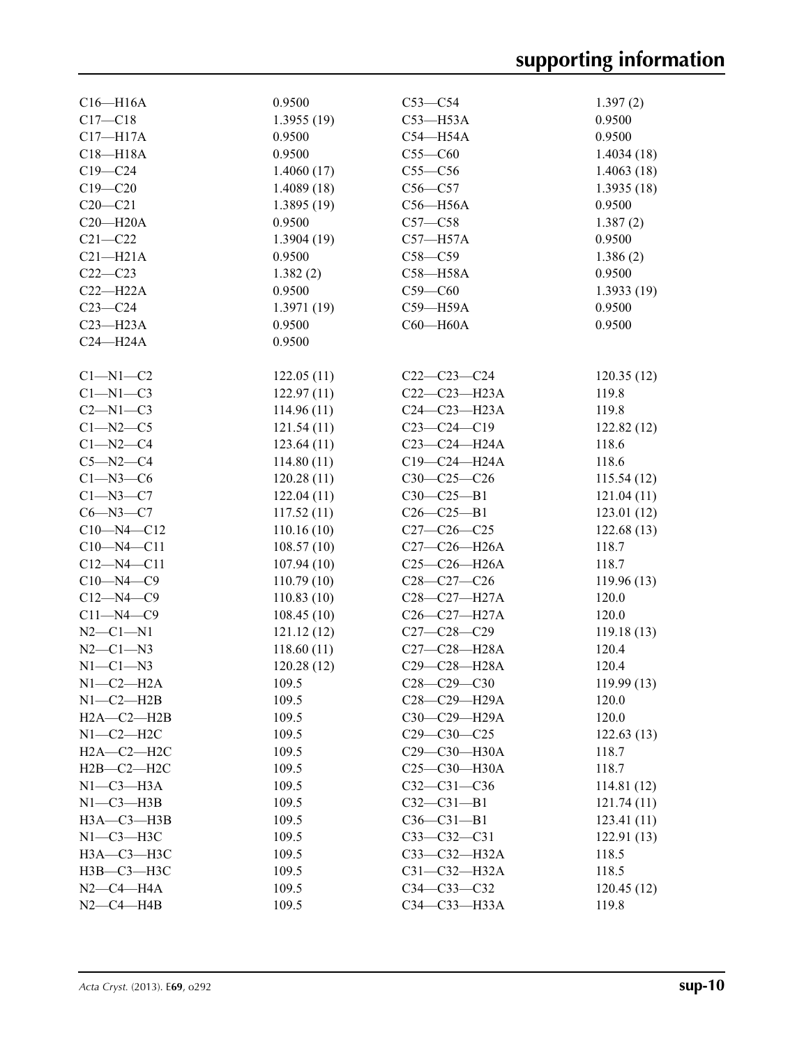| $C16 - H16A$     | 0.9500     | $C53-C54$          | 1.397(2)   |
|------------------|------------|--------------------|------------|
| $C17 - C18$      | 1.3955(19) | $C53 - H53A$       | 0.9500     |
| $C17 - H17A$     | 0.9500     | $C54 - H54A$       | 0.9500     |
| $C18 - H18A$     | 0.9500     | $C55 - C60$        | 1.4034(18) |
| $C19 - C24$      | 1.4060(17) | $C55-C56$          | 1.4063(18) |
| $C19 - C20$      | 1.4089(18) | $C56-C57$          | 1.3935(18) |
| $C20 - C21$      | 1.3895(19) | $C56 - H56A$       | 0.9500     |
| $C20 - H20A$     | 0.9500     | $C57 - C58$        | 1.387(2)   |
| $C21 - C22$      | 1.3904(19) | $C57 - H57A$       | 0.9500     |
| $C21 - H21A$     | 0.9500     | $C58-C59$          | 1.386(2)   |
| $C22-C23$        | 1.382(2)   | C58-H58A           | 0.9500     |
| $C22 - H22A$     | 0.9500     | $C59-C60$          | 1.3933(19) |
| $C23-C24$        | 1.3971(19) | $C59 - H59A$       | 0.9500     |
| $C23 - H23A$     | 0.9500     | $C60 - H60A$       | 0.9500     |
| $C24 - H24A$     | 0.9500     |                    |            |
|                  |            |                    |            |
| $C1 - N1 - C2$   | 122.05(11) | $C22-C23-C24$      | 120.35(12) |
| $C1-M1-C3$       | 122.97(11) | $C22-C23-H23A$     | 119.8      |
| $C2-M1-C3$       | 114.96(11) | $C24-C23-H23A$     | 119.8      |
| $C1 - N2 - C5$   | 121.54(11) | $C23-C24-C19$      | 122.82(12) |
| $C1 - N2 - C4$   | 123.64(11) | C23-C24-H24A       | 118.6      |
| $C5 - N2 - C4$   | 114.80(11) | $C19-C24-H24A$     | 118.6      |
| $C1 - N3 - C6$   | 120.28(11) | $C30-C25-C26$      | 115.54(12) |
| $C1 - N3 - C7$   | 122.04(11) | $C30-C25-B1$       | 121.04(11) |
| $C6 - N3 - C7$   | 117.52(11) | $C26 - C25 - B1$   | 123.01(12) |
| $C10 - N4 - C12$ | 110.16(10) | $C27-C26-C25$      | 122.68(13) |
| $C10 - N4 - C11$ | 108.57(10) | $C27-C26-H26A$     | 118.7      |
| $C12 - N4 - C11$ | 107.94(10) | $C25-C26-H26A$     | 118.7      |
| $C10 - N4 - C9$  | 110.79(10) | $C28 - C27 - C26$  | 119.96(13) |
| $C12 - N4 - C9$  | 110.83(10) | C28-C27-H27A       | 120.0      |
| $C11 - N4 - C9$  | 108.45(10) | C26-C27-H27A       | 120.0      |
| $N2 - C1 - N1$   | 121.12(12) | $C27 - C28 - C29$  | 119.18(13) |
| $N2 - C1 - N3$   | 118.60(11) | C27-C28-H28A       | 120.4      |
| $N1-C1-N3$       | 120.28(12) | C29-C28-H28A       | 120.4      |
| $N1-C2-H2A$      | 109.5      | $C28 - C29 - C30$  | 119.99(13) |
| $N1-C2-H2B$      | 109.5      | C28-C29-H29A       | 120.0      |
| $H2A - C2 - H2B$ | 109.5      | C30-C29-H29A       | 120.0      |
| $N1-C2-H2C$      | 109.5      | $C29 - C30 - C25$  | 122.63(13) |
| $H2A-C2-H2C$     | 109.5      | C29-C30-H30A       | 118.7      |
| $H2B-C2-H2C$     | 109.5      | $C25-C30-H30A$     | 118.7      |
| $N1-C3-H3A$      | 109.5      | $C32 - C31 - C36$  | 114.81(12) |
| $N1-C3-H3B$      | 109.5      | $C32 - C31 - B1$   | 121.74(11) |
| НЗА-СЗ-НЗВ       | 109.5      | $C36 - C31 - B1$   | 123.41(11) |
| $N1-C3-H3C$      | 109.5      | $C33 - C32 - C31$  | 122.91(13) |
| НЗА-СЗ-НЗС       | 109.5      | C33-C32-H32A       | 118.5      |
| НЗВ-СЗ-НЗС       | 109.5      | $C31 - C32 - H32A$ | 118.5      |
| $N2-C4-H4A$      | 109.5      | $C34 - C33 - C32$  | 120.45(12) |
| $N2-C4-H4B$      | 109.5      | C34-C33-H33A       | 119.8      |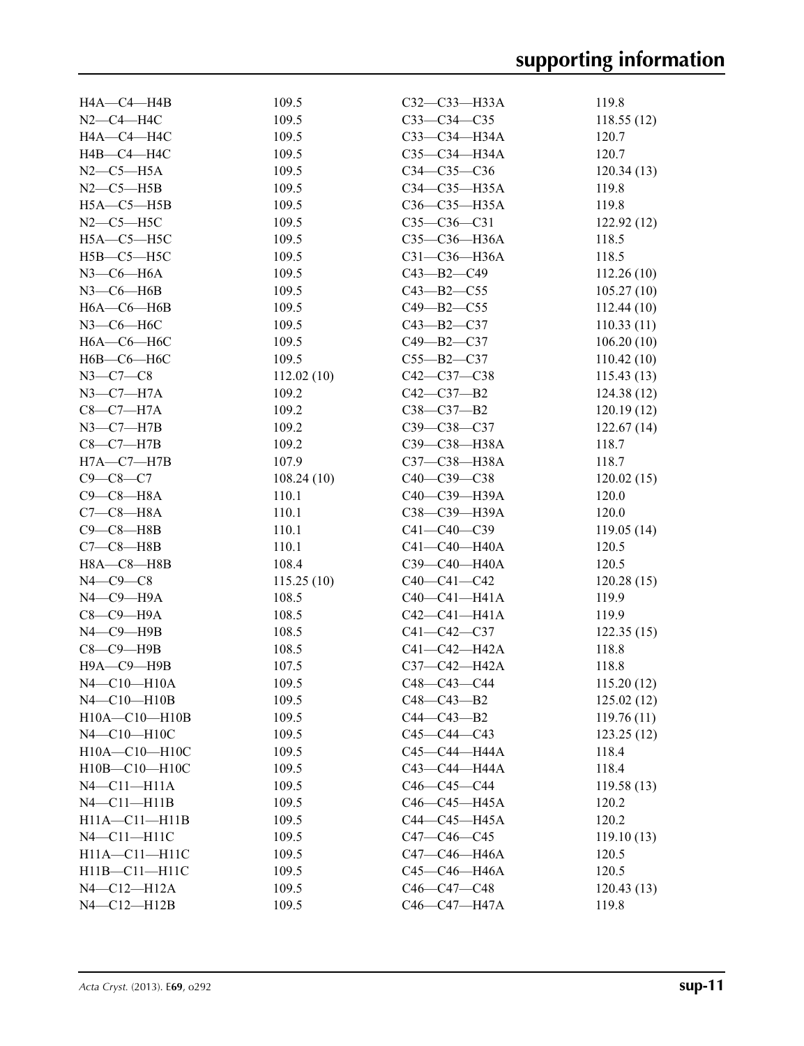| HA—C4—H4B             | 109.5      | $C32 - C33 - H33A$ | 119.8      |
|-----------------------|------------|--------------------|------------|
| $N2$ —C4—H4C          | 109.5      | $C33-C34-C35$      | 118.55(12) |
| H4A-C4-H4C            | 109.5      | C33-C34-H34A       | 120.7      |
| Н4В-С4-Н4С            | 109.5      | $C35-C34-H34A$     | 120.7      |
| $N2-C5-H5A$           | 109.5      | $C34 - C35 - C36$  | 120.34(13) |
| $N2-C5-H5B$           | 109.5      | C34-C35-H35A       | 119.8      |
| $H5A - C5 - H5B$      | 109.5      | C36-C35-H35A       | 119.8      |
| $N2-C5-H5C$           | 109.5      | $C35-C36-C31$      | 122.92(12) |
| $H5A - C5 - H5C$      | 109.5      | C35-C36-H36A       | 118.5      |
| $H5B - C5 - H5C$      | 109.5      | C31-C36-H36A       | 118.5      |
| $N3$ –C6–H6A          | 109.5      | $C43 - B2 - C49$   | 112.26(10) |
| $N3$ –C6–H6B          | 109.5      | $C43 - B2 - C55$   | 105.27(10) |
| $H6A - C6 - H6B$      | 109.5      | $C49 - B2 - C55$   | 112.44(10) |
| $N3$ –C6–H6C          | 109.5      | $C43 - B2 - C37$   | 110.33(11) |
| $H6A-C6-H6C$          | 109.5      | $C49 - B2 - C37$   | 106.20(10) |
| Н6В-С6-Н6С            | 109.5      | $C55 - B2 - C37$   | 110.42(10) |
| $N3 - C7 - C8$        | 112.02(10) | $C42 - C37 - C38$  | 115.43(13) |
| $N3$ — $C7$ — $H7A$   | 109.2      | $C42 - C37 - B2$   | 124.38(12) |
| $C8-C7-H7A$           | 109.2      | $C38 - C37 - B2$   | 120.19(12) |
| $N3-C7-H7B$           | 109.2      | C39-C38-C37        | 122.67(14) |
| $C8-C7-H7B$           | 109.2      | C39-C38-H38A       | 118.7      |
| $H7A - C7 - H7B$      | 107.9      | СЗ7-СЗ8-НЗ8А       | 118.7      |
| $C9 - C8 - C7$        | 108.24(10) | C40-C39-C38        | 120.02(15) |
| $C9-C8-H8A$           | 110.1      | C40-C39-H39A       | 120.0      |
| $C7-C8-H8A$           | 110.1      | СЗ8-СЗ9-НЗ9А       | 120.0      |
| $C9 - C8 - H8B$       | 110.1      | C41-C40-C39        | 119.05(14) |
| $C7-C8-$ H8B          | 110.1      | C41-C40-H40A       | 120.5      |
| $H8A - C8 - H8B$      | 108.4      | СЗ9-С40-Н40А       | 120.5      |
| $N4$ -C9 -C8          | 115.25(10) | $C40 - C41 - C42$  | 120.28(15) |
| $N4$ — $C9$ — $H9A$   | 108.5      | $C40-C41-H41A$     | 119.9      |
| $C8-C9-H9A$           | 108.5      | $C42 - C41 - H41A$ | 119.9      |
| $N4$ -C9-H9B          | 108.5      | $C41 - C42 - C37$  | 122.35(15) |
| $C8-C9$ —H9B          | 108.5      | C41-C42-H42A       | 118.8      |
| Н9А-С9-Н9В            | 107.5      | C37-C42-H42A       | 118.8      |
| $N4 - C10 - H10A$     | 109.5      | C48-C43-C44        | 115.20(12) |
| $N4 - C10 - H10B$     | 109.5      | $C48 - C43 - B2$   | 125.02(12) |
| H10A-C10-H10B         | 109.5      | $C44 - C43 - B2$   | 119.76(11) |
| N4-C10-H10C           | 109.5      | $C45 - C44 - C43$  | 123.25(12) |
| H10A-C10-H10C         | 109.5      | C45-C44-H44A       | 118.4      |
| H10B-C10-H10C         | 109.5      | C43-C44-H44A       | 118.4      |
| $N4 - C11 - H11A$     | 109.5      | $C46 - C45 - C44$  | 119.58(13) |
| $N4$ – $C11$ – $H11B$ | 109.5      | C46-C45-H45A       | 120.2      |
| $H11A - C11 - H11B$   | 109.5      | $C44 - C45 - H45A$ | 120.2      |
| N4-C11-H11C           | 109.5      | C47-C46-C45        | 119.10(13) |
| H11A-C11-H11C         | 109.5      | C47-C46-H46A       | 120.5      |
| H11B-C11-H11C         | 109.5      | C45-C46-H46A       | 120.5      |
| N4-C12-H12A           | 109.5      | C46-C47-C48        | 120.43(13) |
| $N4 - C12 - H12B$     | 109.5      | C46-C47-H47A       | 119.8      |
|                       |            |                    |            |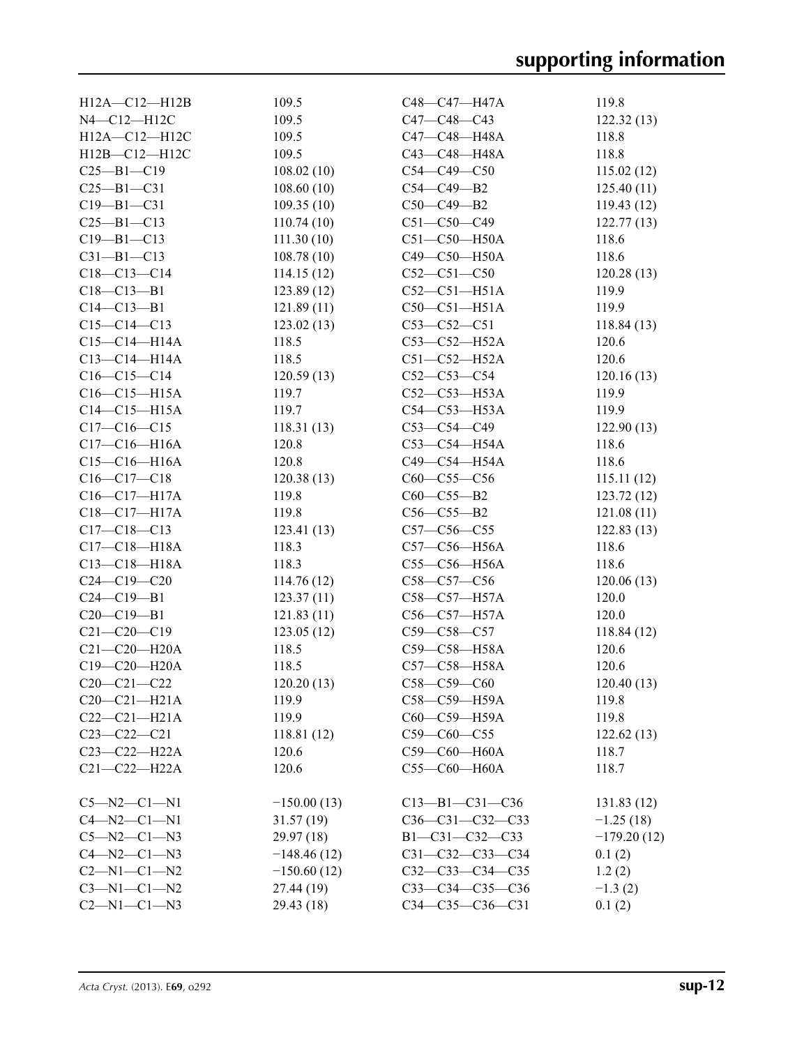| $H12A - C12 - H12B$ | 109.5         | C48-C47-H47A           | 119.8         |
|---------------------|---------------|------------------------|---------------|
| N4-C12-H12C         | 109.5         | C47-C48-C43            | 122.32(13)    |
| H12A-C12-H12C       | 109.5         | C47-C48-H48A           | 118.8         |
| H12B-C12-H12C       | 109.5         | C43-C48-H48A           | 118.8         |
| $C25 - B1 - C19$    | 108.02(10)    | $C54-C49-C50$          | 115.02(12)    |
| $C25 - B1 - C31$    | 108.60(10)    | $C54-C49-B2$           | 125.40(11)    |
| $C19 - B1 - C31$    | 109.35(10)    | $C50-C49-B2$           | 119.43(12)    |
| $C25 - B1 - C13$    | 110.74(10)    | $C51 - C50 - C49$      | 122.77(13)    |
| $C19 - B1 - C13$    | 111.30(10)    | $C51-C50-H50A$         | 118.6         |
| $C31 - B1 - C13$    | 108.78(10)    | C49-C50-H50A           | 118.6         |
| $C18 - C13 - C14$   | 114.15(12)    | $C52 - C51 - C50$      | 120.28(13)    |
| $C18 - C13 - B1$    | 123.89(12)    | $C52-C51-H51A$         | 119.9         |
| $C14 - C13 - B1$    | 121.89(11)    | $C50-C51-H51A$         | 119.9         |
| $C15 - C14 - C13$   | 123.02(13)    | $C53 - C52 - C51$      | 118.84(13)    |
| $C15-C14-H14A$      | 118.5         | $C53 - C52 - H52A$     | 120.6         |
| $C13 - C14 - H14A$  | 118.5         | $C51-C52-H52A$         | 120.6         |
| $C16-C15-C14$       | 120.59(13)    | $C52-C53-C54$          | 120.16(13)    |
| $C16 - C15 - H15A$  | 119.7         | $C52-C53-H53A$         | 119.9         |
| $C14-C15-H15A$      | 119.7         | C54-C53-H53A           | 119.9         |
| $C17 - C16 - C15$   | 118.31(13)    | $C53-C54-C49$          | 122.90(13)    |
| $C17 - C16 - H16A$  | 120.8         | $C53-C54-H54A$         | 118.6         |
| $C15-C16-H16A$      | 120.8         | $C49-C54-H54A$         | 118.6         |
| $C16-C17-C18$       | 120.38(13)    | $C60-C55-C56$          | 115.11(12)    |
| $C16 - C17 - H17A$  | 119.8         | $C60 - C55 - B2$       | 123.72(12)    |
| C18-C17-H17A        | 119.8         | $C56 - C55 - B2$       | 121.08(11)    |
| $C17 - C18 - C13$   | 123.41(13)    | $C57 - C56 - C55$      | 122.83(13)    |
| $C17 - C18 - H18A$  | 118.3         | $C57-C56-H56A$         | 118.6         |
| $C13 - C18 - H18A$  | 118.3         | C55-C56-H56A           | 118.6         |
| $C24 - C19 - C20$   | 114.76(12)    | $C58 - C57 - C56$      | 120.06(13)    |
| $C24 - C19 - B1$    | 123.37(11)    | C58-C57-H57A           | 120.0         |
| $C20-C19-B1$        | 121.83(11)    | C56-C57-H57A           | 120.0         |
| $C21 - C20 - C19$   | 123.05(12)    | C59-C58-C57            | 118.84(12)    |
| $C21-C20-H20A$      | 118.5         | C59-C58-H58A           | 120.6         |
| C19-C20-H20A        | 118.5         | C57-C58-H58A           | 120.6         |
| $C20 - C21 - C22$   | 120.20(13)    | $C58 - C59 - C60$      | 120.40(13)    |
| $C20-C21-H21A$      | 119.9         | C58-C59-H59A           | 119.8         |
| $C22-C21-H21A$      | 119.9         | C60-C59-H59A           | 119.8         |
| $C23 - C22 - C21$   | 118.81(12)    | $C59-C60-C55$          | 122.62(13)    |
| $C23-C22-H22A$      | 120.6         | C59-C60-H60A           | 118.7         |
| $C21-C22-H22A$      | 120.6         | $C55-C60-H60A$         | 118.7         |
|                     |               |                        |               |
| $C5 - N2 - C1 - N1$ | $-150.00(13)$ | $C13 - B1 - C31 - C36$ | 131.83(12)    |
| $C4 - N2 - C1 - N1$ | 31.57(19)     | $C36-C31-C32-C33$      | $-1.25(18)$   |
| $C5 - N2 - C1 - N3$ | 29.97(18)     | B1-C31-C32-C33         | $-179.20(12)$ |
| $C4 - N2 - C1 - N3$ | $-148.46(12)$ | C31-C32-C33-C34        | 0.1(2)        |
| $C2-M1-C1-N2$       | $-150.60(12)$ | $C32-C33-C34-C35$      | 1.2(2)        |
| $C3-M1-C1-M2$       | 27.44(19)     | C33-C34-C35-C36        | $-1.3(2)$     |
| $C2 - N1 - C1 - N3$ | 29.43 (18)    | $C34-C35-C36-C31$      | 0.1(2)        |
|                     |               |                        |               |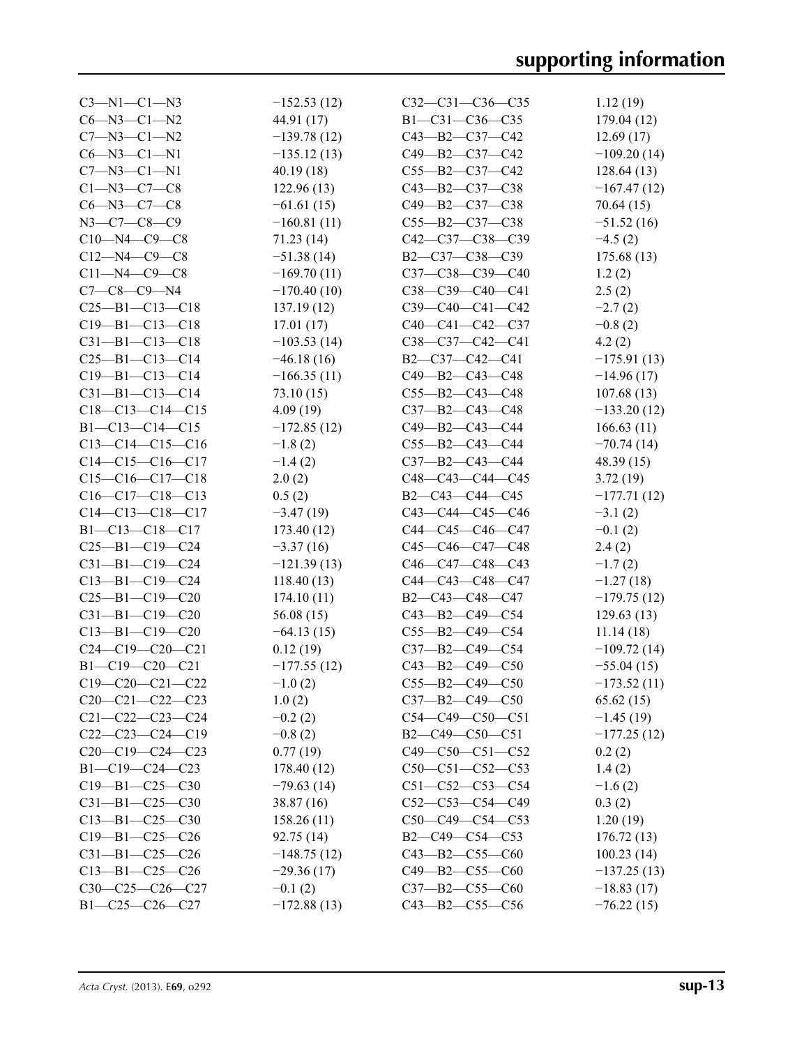| $C3 - N1 - C1 - N3$                         | $-152.53(12)$ | $C32-C31-C36-C35$       | 1.12(19)      |
|---------------------------------------------|---------------|-------------------------|---------------|
| $C6 - N3 - C1 - N2$                         | 44.91 (17)    | B1-C31-C36-C35          | 179.04 (12)   |
| $C7 - N3 - C1 - N2$                         | $-139.78(12)$ | $C43 - B2 - C37 - C42$  | 12.69(17)     |
| $C6 - N3 - C1 - N1$                         | $-135.12(13)$ | C49-B2-C37-C42          | $-109.20(14)$ |
| $C7 - N3 - C1 - N1$                         | 40.19(18)     | $C55 - B2 - C37 - C42$  | 128.64(13)    |
| $C1 - N3 - C7 - C8$                         | 122.96(13)    | $C43 - B2 - C37 - C38$  | $-167.47(12)$ |
| $C6 - N3 - C7 - C8$                         | $-61.61(15)$  | C49-B2-C37-C38          | 70.64 (15)    |
| $N3 - C7 - C8 - C9$                         | $-160.81(11)$ | C55-B2-C37-C38          | $-51.52(16)$  |
| $C10 - N4 - C9 - C8$                        | 71.23(14)     | $C42 - C37 - C38 - C39$ | $-4.5(2)$     |
| $C12 - N4 - C9 - C8$                        | $-51.38(14)$  | B2-C37-C38-C39          | 175.68(13)    |
| $C11 - N4 - C9 - C8$                        | $-169.70(11)$ | C37-C38-C39-C40         | 1.2(2)        |
| $C7-C8-C9-N4$                               | $-170.40(10)$ | $C38-C39-C40-C41$       | 2.5(2)        |
| $C25 - B1 - C13 - C18$                      | 137.19(12)    | C39-C40-C41-C42         | $-2.7(2)$     |
| $C19 - B1 - C13 - C18$                      | 17.01(17)     | C40-C41-C42-C37         | $-0.8(2)$     |
| $C31 - B1 - C13 - C18$                      | $-103.53(14)$ | C38-C37-C42-C41         | 4.2(2)        |
| $C25 - B1 - C13 - C14$                      | $-46.18(16)$  | B2-C37-C42-C41          | $-175.91(13)$ |
| $C19 - B1 - C13 - C14$                      | $-166.35(11)$ | C49-B2-C43-C48          | $-14.96(17)$  |
| $C31 - B1 - C13 - C14$                      | 73.10(15)     | C55-B2-C43-C48          | 107.68(13)    |
| $C18-C13-C14-C15$                           | 4.09(19)      | C37-B2-C43-C48          | $-133.20(12)$ |
|                                             |               | C49-B2-C43-C44          |               |
| $B1 - C13 - C14 - C15$<br>$C13-C14-C15-C16$ | $-172.85(12)$ |                         | 166.63(11)    |
|                                             | $-1.8(2)$     | $C55 - B2 - C43 - C44$  | $-70.74(14)$  |
| $C14-C15-C16-C17$                           | $-1.4(2)$     | $C37 - B2 - C43 - C44$  | 48.39 (15)    |
| $C15-C16-C17-C18$                           | 2.0(2)        | $C48-C43-C44-C45$       | 3.72(19)      |
| $C16-C17-C18-C13$                           | 0.5(2)        | B2-C43-C44-C45          | $-177.71(12)$ |
| $C14-C13-C18-C17$                           | $-3.47(19)$   | $C43-C44-C45-C46$       | $-3.1(2)$     |
| B1-C13-C18-C17                              | 173.40 (12)   | C44-C45-C46-C47         | $-0.1(2)$     |
| $C25 - B1 - C19 - C24$                      | $-3.37(16)$   | C45-C46-C47-C48         | 2.4(2)        |
| $C31 - B1 - C19 - C24$                      | $-121.39(13)$ | $C46-C47-C48-C43$       | $-1.7(2)$     |
| $C13 - B1 - C19 - C24$                      | 118.40(13)    | C44-C43-C48-C47         | $-1.27(18)$   |
| $C25 - B1 - C19 - C20$                      | 174.10(11)    | $B2 - C43 - C48 - C47$  | $-179.75(12)$ |
| $C31 - B1 - C19 - C20$                      | 56.08(15)     | $C43 - B2 - C49 - C54$  | 129.63(13)    |
| $C13 - B1 - C19 - C20$                      | $-64.13(15)$  | $C55 - B2 - C49 - C54$  | 11.14(18)     |
| $C24-C19-C20-C21$                           | 0.12(19)      | $C37 - B2 - C49 - C54$  | $-109.72(14)$ |
| B1-C19-C20-C21                              | $-177.55(12)$ | $C43 - B2 - C49 - C50$  | $-55.04(15)$  |
| $C19-C20-C21-C22$                           | $-1.0(2)$     | $C55 - B2 - C49 - C50$  | $-173.52(11)$ |
| $C20-C21-C22-C23$                           | 1.0(2)        | $C37 - B2 - C49 - C50$  | 65.62(15)     |
| $C21 - C22 - C23 - C24$                     | $-0.2(2)$     | $C54-C49-C50-C51$       | $-1.45(19)$   |
| $C22-C23-C24-C19$                           | $-0.8(2)$     | $B2-C49-C50-C51$        | $-177.25(12)$ |
| $C20-C19-C24-C23$                           | 0.77(19)      | $C49 - C50 - C51 - C52$ | 0.2(2)        |
| $B1 - C19 - C24 - C23$                      | 178.40 (12)   | $C50-C51-C52-C53$       | 1.4(2)        |
| $C19 - B1 - C25 - C30$                      | $-79.63(14)$  | $C51-C52-C53-C54$       | $-1.6(2)$     |
| $C31 - B1 - C25 - C30$                      | 38.87(16)     | $C52-C53-C54-C49$       | 0.3(2)        |
| $C13 - B1 - C25 - C30$                      | 158.26(11)    | $C50-C49-C54-C53$       | 1.20(19)      |
| $C19 - B1 - C25 - C26$                      | 92.75(14)     | $B2-C49-C54-C53$        | 176.72(13)    |
| $C31 - B1 - C25 - C26$                      | $-148.75(12)$ | $C43 - B2 - C55 - C60$  | 100.23(14)    |
| $C13 - B1 - C25 - C26$                      | $-29.36(17)$  | $C49 - B2 - C55 - C60$  | $-137.25(13)$ |
| $C30-C25-C26-C27$                           | $-0.1(2)$     | $C37 - B2 - C55 - C60$  | $-18.83(17)$  |
| B1-C25-C26-C27                              | $-172.88(13)$ | $C43 - B2 - C55 - C56$  | $-76.22(15)$  |